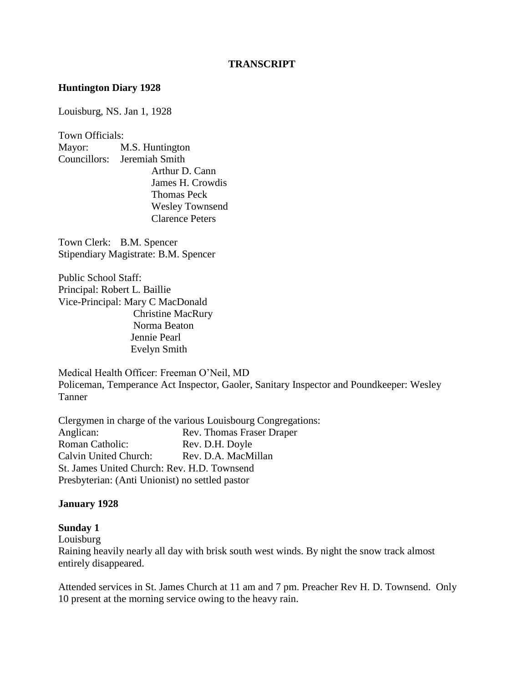#### **TRANSCRIPT**

#### **Huntington Diary 1928**

Louisburg, NS. Jan 1, 1928

Town Officials: Mayor: M.S. Huntington Councillors: Jeremiah Smith Arthur D. Cann James H. Crowdis Thomas Peck Wesley Townsend Clarence Peters

Town Clerk: B.M. Spencer Stipendiary Magistrate: B.M. Spencer

Public School Staff: Principal: Robert L. Baillie Vice-Principal: Mary C MacDonald Christine MacRury Norma Beaton Jennie Pearl Evelyn Smith

Medical Health Officer: Freeman O'Neil, MD Policeman, Temperance Act Inspector, Gaoler, Sanitary Inspector and Poundkeeper: Wesley Tanner

Clergymen in charge of the various Louisbourg Congregations: Anglican: Rev. Thomas Fraser Draper Roman Catholic: Rev. D.H. Doyle Calvin United Church: Rev. D.A. MacMillan St. James United Church: Rev. H.D. Townsend Presbyterian: (Anti Unionist) no settled pastor

#### **January 1928**

#### **Sunday 1**

Louisburg Raining heavily nearly all day with brisk south west winds. By night the snow track almost entirely disappeared.

Attended services in St. James Church at 11 am and 7 pm. Preacher Rev H. D. Townsend. Only 10 present at the morning service owing to the heavy rain.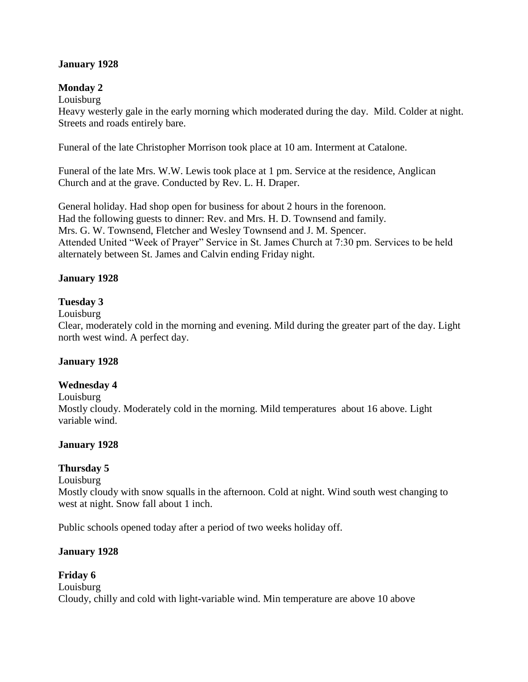# **January 1928**

# **Monday 2**

Louisburg

Heavy westerly gale in the early morning which moderated during the day. Mild. Colder at night. Streets and roads entirely bare.

Funeral of the late Christopher Morrison took place at 10 am. Interment at Catalone.

Funeral of the late Mrs. W.W. Lewis took place at 1 pm. Service at the residence, Anglican Church and at the grave. Conducted by Rev. L. H. Draper.

General holiday. Had shop open for business for about 2 hours in the forenoon. Had the following guests to dinner: Rev. and Mrs. H. D. Townsend and family. Mrs. G. W. Townsend, Fletcher and Wesley Townsend and J. M. Spencer. Attended United "Week of Prayer" Service in St. James Church at 7:30 pm. Services to be held alternately between St. James and Calvin ending Friday night.

# **January 1928**

# **Tuesday 3**

Louisburg

Clear, moderately cold in the morning and evening. Mild during the greater part of the day. Light north west wind. A perfect day.

# **January 1928**

# **Wednesday 4**

#### Louisburg

Mostly cloudy. Moderately cold in the morning. Mild temperatures about 16 above. Light variable wind.

# **January 1928**

# **Thursday 5**

Louisburg

Mostly cloudy with snow squalls in the afternoon. Cold at night. Wind south west changing to west at night. Snow fall about 1 inch.

Public schools opened today after a period of two weeks holiday off.

# **January 1928**

#### **Friday 6** Louisburg Cloudy, chilly and cold with light-variable wind. Min temperature are above 10 above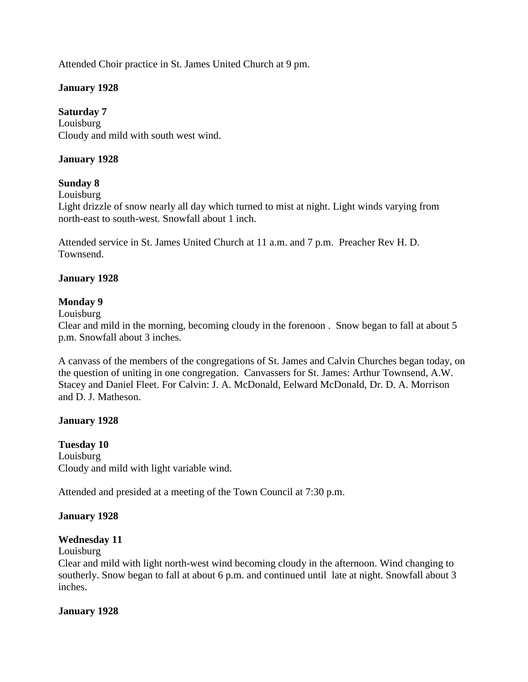Attended Choir practice in St. James United Church at 9 pm.

# **January 1928**

**Saturday 7** Louisburg Cloudy and mild with south west wind.

# **January 1928**

# **Sunday 8**

Louisburg

Light drizzle of snow nearly all day which turned to mist at night. Light winds varying from north-east to south-west. Snowfall about 1 inch.

Attended service in St. James United Church at 11 a.m. and 7 p.m. Preacher Rev H. D. Townsend.

#### **January 1928**

#### **Monday 9**

Louisburg

Clear and mild in the morning, becoming cloudy in the forenoon . Snow began to fall at about 5 p.m. Snowfall about 3 inches.

A canvass of the members of the congregations of St. James and Calvin Churches began today, on the question of uniting in one congregation. Canvassers for St. James: Arthur Townsend, A.W. Stacey and Daniel Fleet. For Calvin: J. A. McDonald, Eelward McDonald, Dr. D. A. Morrison and D. J. Matheson.

# **January 1928**

**Tuesday 10** Louisburg Cloudy and mild with light variable wind.

Attended and presided at a meeting of the Town Council at 7:30 p.m.

#### **January 1928**

#### **Wednesday 11**

Louisburg

Clear and mild with light north-west wind becoming cloudy in the afternoon. Wind changing to southerly. Snow began to fall at about 6 p.m. and continued until late at night. Snowfall about 3 inches.

#### **January 1928**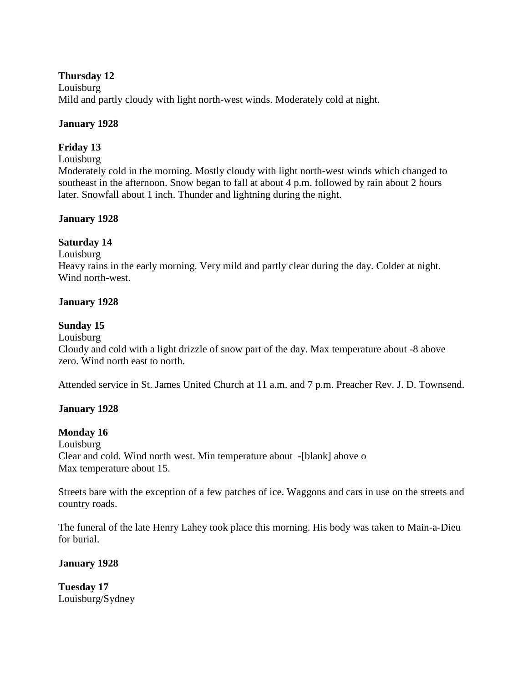#### **Thursday 12**

Louisburg Mild and partly cloudy with light north-west winds. Moderately cold at night.

# **January 1928**

# **Friday 13**

#### Louisburg

Moderately cold in the morning. Mostly cloudy with light north-west winds which changed to southeast in the afternoon. Snow began to fall at about 4 p.m. followed by rain about 2 hours later. Snowfall about 1 inch. Thunder and lightning during the night.

# **January 1928**

# **Saturday 14**

Louisburg

Heavy rains in the early morning. Very mild and partly clear during the day. Colder at night. Wind north-west.

# **January 1928**

# **Sunday 15**

Louisburg

Cloudy and cold with a light drizzle of snow part of the day. Max temperature about -8 above zero. Wind north east to north.

Attended service in St. James United Church at 11 a.m. and 7 p.m. Preacher Rev. J. D. Townsend.

# **January 1928**

# **Monday 16**

Louisburg Clear and cold. Wind north west. Min temperature about -[blank] above o Max temperature about 15.

Streets bare with the exception of a few patches of ice. Waggons and cars in use on the streets and country roads.

The funeral of the late Henry Lahey took place this morning. His body was taken to Main-a-Dieu for burial.

# **January 1928**

**Tuesday 17** Louisburg/Sydney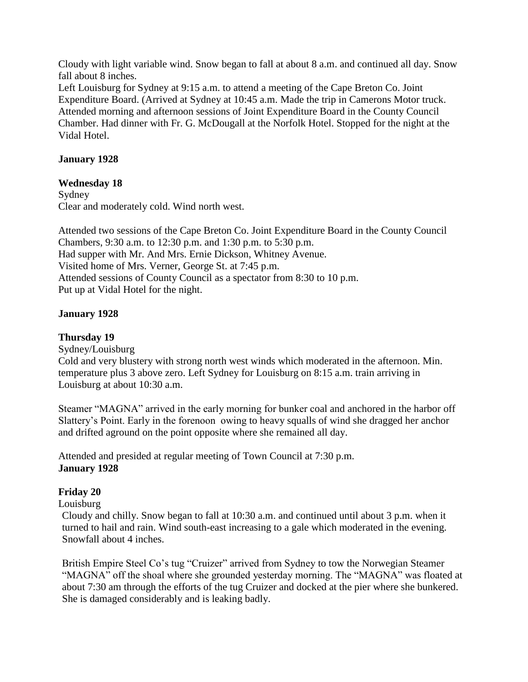Cloudy with light variable wind. Snow began to fall at about 8 a.m. and continued all day. Snow fall about 8 inches.

Left Louisburg for Sydney at 9:15 a.m. to attend a meeting of the Cape Breton Co. Joint Expenditure Board. (Arrived at Sydney at 10:45 a.m. Made the trip in Camerons Motor truck. Attended morning and afternoon sessions of Joint Expenditure Board in the County Council Chamber. Had dinner with Fr. G. McDougall at the Norfolk Hotel. Stopped for the night at the Vidal Hotel.

#### **January 1928**

#### **Wednesday 18**

Sydney Clear and moderately cold. Wind north west.

Attended two sessions of the Cape Breton Co. Joint Expenditure Board in the County Council Chambers, 9:30 a.m. to 12:30 p.m. and 1:30 p.m. to 5:30 p.m. Had supper with Mr. And Mrs. Ernie Dickson, Whitney Avenue. Visited home of Mrs. Verner, George St. at 7:45 p.m. Attended sessions of County Council as a spectator from 8:30 to 10 p.m. Put up at Vidal Hotel for the night.

# **January 1928**

#### **Thursday 19**

Sydney/Louisburg

Cold and very blustery with strong north west winds which moderated in the afternoon. Min. temperature plus 3 above zero. Left Sydney for Louisburg on 8:15 a.m. train arriving in Louisburg at about 10:30 a.m.

Steamer "MAGNA" arrived in the early morning for bunker coal and anchored in the harbor off Slattery's Point. Early in the forenoon owing to heavy squalls of wind she dragged her anchor and drifted aground on the point opposite where she remained all day.

Attended and presided at regular meeting of Town Council at 7:30 p.m. **January 1928**

# **Friday 20**

Louisburg

Cloudy and chilly. Snow began to fall at 10:30 a.m. and continued until about 3 p.m. when it turned to hail and rain. Wind south-east increasing to a gale which moderated in the evening. Snowfall about 4 inches.

British Empire Steel Co's tug "Cruizer" arrived from Sydney to tow the Norwegian Steamer "MAGNA" off the shoal where she grounded yesterday morning. The "MAGNA" was floated at about 7:30 am through the efforts of the tug Cruizer and docked at the pier where she bunkered. She is damaged considerably and is leaking badly.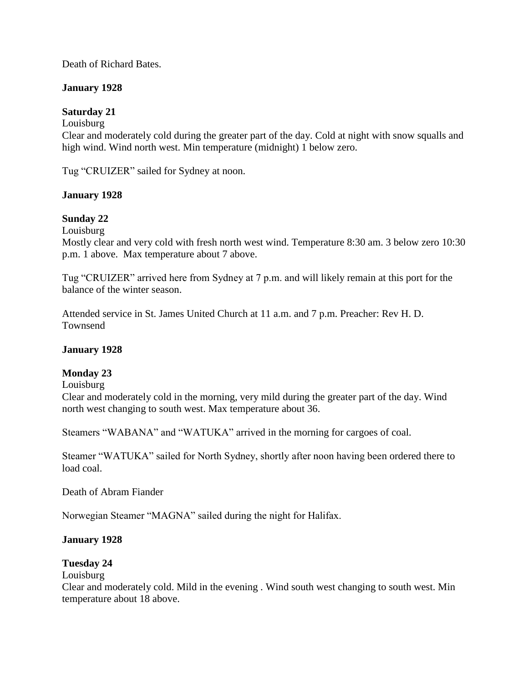Death of Richard Bates.

# **January 1928**

# **Saturday 21**

# Louisburg

Clear and moderately cold during the greater part of the day. Cold at night with snow squalls and high wind. Wind north west. Min temperature (midnight) 1 below zero.

Tug "CRUIZER" sailed for Sydney at noon.

# **January 1928**

# **Sunday 22**

Louisburg

Mostly clear and very cold with fresh north west wind. Temperature 8:30 am. 3 below zero 10:30 p.m. 1 above. Max temperature about 7 above.

Tug "CRUIZER" arrived here from Sydney at 7 p.m. and will likely remain at this port for the balance of the winter season.

Attended service in St. James United Church at 11 a.m. and 7 p.m. Preacher: Rev H. D. Townsend

# **January 1928**

# **Monday 23**

Louisburg

Clear and moderately cold in the morning, very mild during the greater part of the day. Wind north west changing to south west. Max temperature about 36.

Steamers "WABANA" and "WATUKA" arrived in the morning for cargoes of coal.

Steamer "WATUKA" sailed for North Sydney, shortly after noon having been ordered there to load coal.

Death of Abram Fiander

Norwegian Steamer "MAGNA" sailed during the night for Halifax.

# **January 1928**

# **Tuesday 24**

Louisburg

Clear and moderately cold. Mild in the evening . Wind south west changing to south west. Min temperature about 18 above.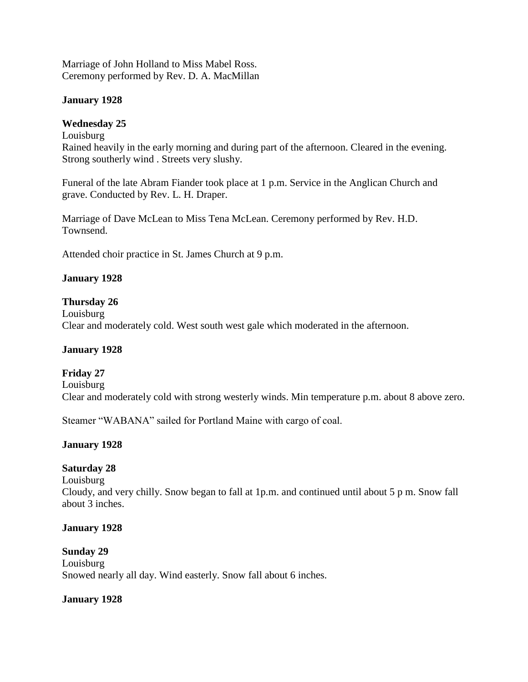Marriage of John Holland to Miss Mabel Ross. Ceremony performed by Rev. D. A. MacMillan

#### **January 1928**

#### **Wednesday 25**

Louisburg Rained heavily in the early morning and during part of the afternoon. Cleared in the evening. Strong southerly wind . Streets very slushy.

Funeral of the late Abram Fiander took place at 1 p.m. Service in the Anglican Church and grave. Conducted by Rev. L. H. Draper.

Marriage of Dave McLean to Miss Tena McLean. Ceremony performed by Rev. H.D. Townsend.

Attended choir practice in St. James Church at 9 p.m.

# **January 1928**

#### **Thursday 26**

Louisburg Clear and moderately cold. West south west gale which moderated in the afternoon.

#### **January 1928**

# **Friday 27**

Louisburg Clear and moderately cold with strong westerly winds. Min temperature p.m. about 8 above zero.

Steamer "WABANA" sailed for Portland Maine with cargo of coal.

# **January 1928**

# **Saturday 28**

Louisburg

Cloudy, and very chilly. Snow began to fall at 1p.m. and continued until about 5 p m. Snow fall about 3 inches.

#### **January 1928**

#### **Sunday 29**

Louisburg Snowed nearly all day. Wind easterly. Snow fall about 6 inches.

#### **January 1928**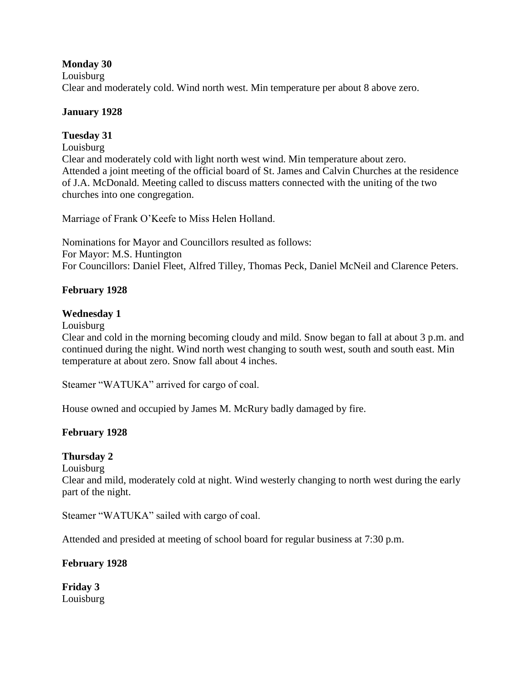# **Monday 30**

Louisburg Clear and moderately cold. Wind north west. Min temperature per about 8 above zero.

#### **January 1928**

#### **Tuesday 31**

Louisburg

Clear and moderately cold with light north west wind. Min temperature about zero. Attended a joint meeting of the official board of St. James and Calvin Churches at the residence of J.A. McDonald. Meeting called to discuss matters connected with the uniting of the two churches into one congregation.

Marriage of Frank O'Keefe to Miss Helen Holland.

Nominations for Mayor and Councillors resulted as follows: For Mayor: M.S. Huntington For Councillors: Daniel Fleet, Alfred Tilley, Thomas Peck, Daniel McNeil and Clarence Peters.

#### **February 1928**

#### **Wednesday 1**

Louisburg

Clear and cold in the morning becoming cloudy and mild. Snow began to fall at about 3 p.m. and continued during the night. Wind north west changing to south west, south and south east. Min temperature at about zero. Snow fall about 4 inches.

Steamer "WATUKA" arrived for cargo of coal.

House owned and occupied by James M. McRury badly damaged by fire.

# **February 1928**

# **Thursday 2**

Louisburg

Clear and mild, moderately cold at night. Wind westerly changing to north west during the early part of the night.

Steamer "WATUKA" sailed with cargo of coal.

Attended and presided at meeting of school board for regular business at 7:30 p.m.

# **February 1928**

**Friday 3** Louisburg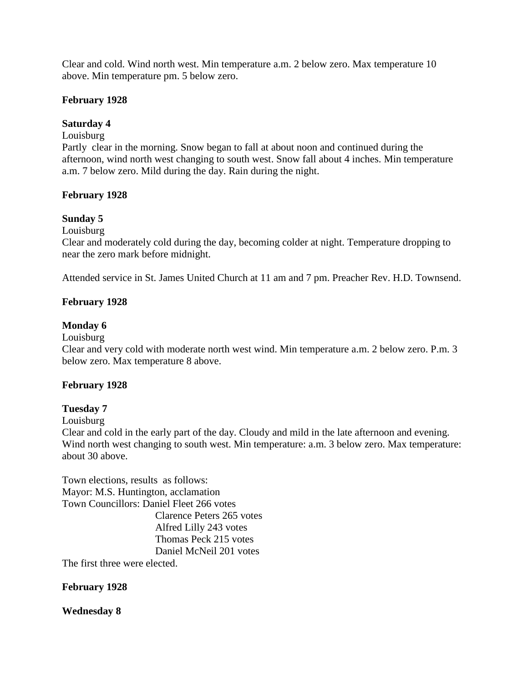Clear and cold. Wind north west. Min temperature a.m. 2 below zero. Max temperature 10 above. Min temperature pm. 5 below zero.

#### **February 1928**

#### **Saturday 4**

Louisburg

Partly clear in the morning. Snow began to fall at about noon and continued during the afternoon, wind north west changing to south west. Snow fall about 4 inches. Min temperature a.m. 7 below zero. Mild during the day. Rain during the night.

#### **February 1928**

#### **Sunday 5**

Louisburg

Clear and moderately cold during the day, becoming colder at night. Temperature dropping to near the zero mark before midnight.

Attended service in St. James United Church at 11 am and 7 pm. Preacher Rev. H.D. Townsend.

#### **February 1928**

#### **Monday 6**

Louisburg

Clear and very cold with moderate north west wind. Min temperature a.m. 2 below zero. P.m. 3 below zero. Max temperature 8 above.

#### **February 1928**

#### **Tuesday 7**

Louisburg

Clear and cold in the early part of the day. Cloudy and mild in the late afternoon and evening. Wind north west changing to south west. Min temperature: a.m. 3 below zero. Max temperature: about 30 above.

Town elections, results as follows: Mayor: M.S. Huntington, acclamation Town Councillors: Daniel Fleet 266 votes Clarence Peters 265 votes

> Alfred Lilly 243 votes Thomas Peck 215 votes Daniel McNeil 201 votes

The first three were elected.

# **February 1928**

**Wednesday 8**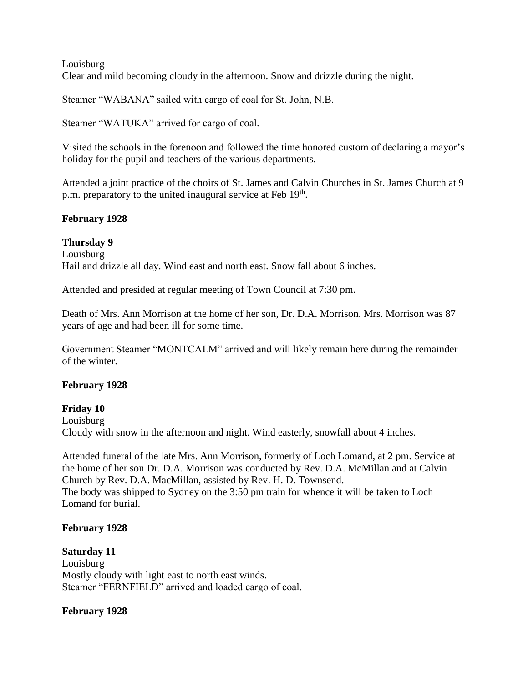Louisburg Clear and mild becoming cloudy in the afternoon. Snow and drizzle during the night.

Steamer "WABANA" sailed with cargo of coal for St. John, N.B.

Steamer "WATUKA" arrived for cargo of coal.

Visited the schools in the forenoon and followed the time honored custom of declaring a mayor's holiday for the pupil and teachers of the various departments.

Attended a joint practice of the choirs of St. James and Calvin Churches in St. James Church at 9 p.m. preparatory to the united inaugural service at Feb 19<sup>th</sup>.

# **February 1928**

**Thursday 9** Louisburg Hail and drizzle all day. Wind east and north east. Snow fall about 6 inches.

Attended and presided at regular meeting of Town Council at 7:30 pm.

Death of Mrs. Ann Morrison at the home of her son, Dr. D.A. Morrison. Mrs. Morrison was 87 years of age and had been ill for some time.

Government Steamer "MONTCALM" arrived and will likely remain here during the remainder of the winter.

# **February 1928**

# **Friday 10**

Louisburg Cloudy with snow in the afternoon and night. Wind easterly, snowfall about 4 inches.

Attended funeral of the late Mrs. Ann Morrison, formerly of Loch Lomand, at 2 pm. Service at the home of her son Dr. D.A. Morrison was conducted by Rev. D.A. McMillan and at Calvin Church by Rev. D.A. MacMillan, assisted by Rev. H. D. Townsend. The body was shipped to Sydney on the 3:50 pm train for whence it will be taken to Loch Lomand for burial.

# **February 1928**

**Saturday 11** Louisburg Mostly cloudy with light east to north east winds. Steamer "FERNFIELD" arrived and loaded cargo of coal.

# **February 1928**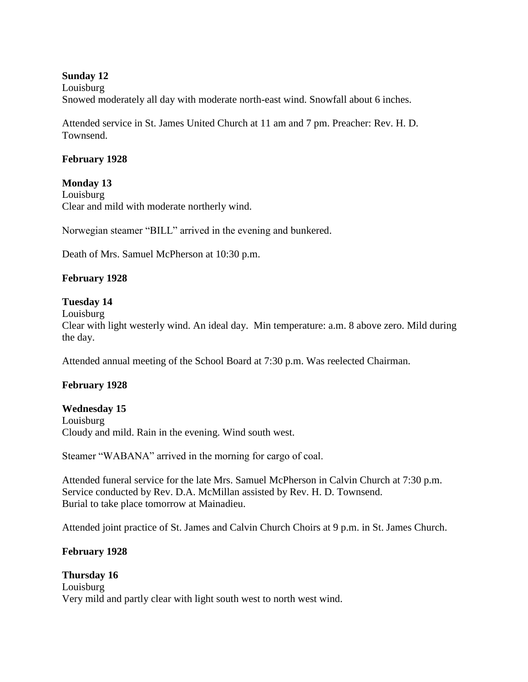# **Sunday 12**

Louisburg Snowed moderately all day with moderate north-east wind. Snowfall about 6 inches.

Attended service in St. James United Church at 11 am and 7 pm. Preacher: Rev. H. D. Townsend.

#### **February 1928**

**Monday 13** Louisburg Clear and mild with moderate northerly wind.

Norwegian steamer "BILL" arrived in the evening and bunkered.

Death of Mrs. Samuel McPherson at 10:30 p.m.

# **February 1928**

#### **Tuesday 14**

Louisburg

Clear with light westerly wind. An ideal day. Min temperature: a.m. 8 above zero. Mild during the day.

Attended annual meeting of the School Board at 7:30 p.m. Was reelected Chairman.

#### **February 1928**

#### **Wednesday 15**

Louisburg Cloudy and mild. Rain in the evening. Wind south west.

Steamer "WABANA" arrived in the morning for cargo of coal.

Attended funeral service for the late Mrs. Samuel McPherson in Calvin Church at 7:30 p.m. Service conducted by Rev. D.A. McMillan assisted by Rev. H. D. Townsend. Burial to take place tomorrow at Mainadieu.

Attended joint practice of St. James and Calvin Church Choirs at 9 p.m. in St. James Church.

#### **February 1928**

**Thursday 16**  Louisburg Very mild and partly clear with light south west to north west wind.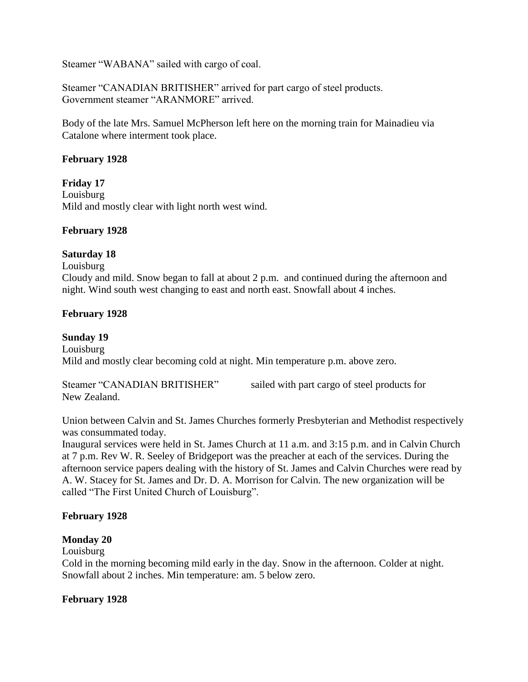Steamer "WABANA" sailed with cargo of coal.

Steamer "CANADIAN BRITISHER" arrived for part cargo of steel products. Government steamer "ARANMORE" arrived.

Body of the late Mrs. Samuel McPherson left here on the morning train for Mainadieu via Catalone where interment took place.

#### **February 1928**

**Friday 17** Louisburg Mild and mostly clear with light north west wind.

#### **February 1928**

# **Saturday 18**

Louisburg

Cloudy and mild. Snow began to fall at about 2 p.m. and continued during the afternoon and night. Wind south west changing to east and north east. Snowfall about 4 inches.

#### **February 1928**

#### **Sunday 19**

Louisburg Mild and mostly clear becoming cold at night. Min temperature p.m. above zero.

Steamer "CANADIAN BRITISHER" sailed with part cargo of steel products for New Zealand.

Union between Calvin and St. James Churches formerly Presbyterian and Methodist respectively was consummated today.

Inaugural services were held in St. James Church at 11 a.m. and 3:15 p.m. and in Calvin Church at 7 p.m. Rev W. R. Seeley of Bridgeport was the preacher at each of the services. During the afternoon service papers dealing with the history of St. James and Calvin Churches were read by A. W. Stacey for St. James and Dr. D. A. Morrison for Calvin. The new organization will be called "The First United Church of Louisburg".

#### **February 1928**

**Monday 20**

Louisburg

Cold in the morning becoming mild early in the day. Snow in the afternoon. Colder at night. Snowfall about 2 inches. Min temperature: am. 5 below zero.

#### **February 1928**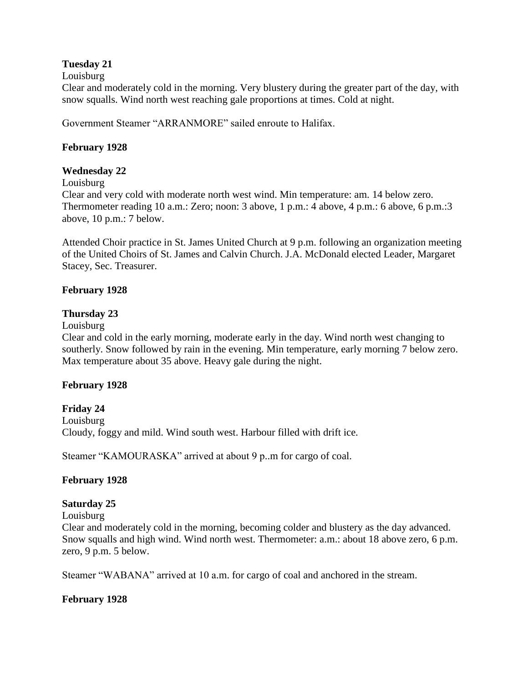# **Tuesday 21**

Louisburg

Clear and moderately cold in the morning. Very blustery during the greater part of the day, with snow squalls. Wind north west reaching gale proportions at times. Cold at night.

Government Steamer "ARRANMORE" sailed enroute to Halifax.

# **February 1928**

# **Wednesday 22**

Louisburg

Clear and very cold with moderate north west wind. Min temperature: am. 14 below zero. Thermometer reading 10 a.m.: Zero; noon: 3 above, 1 p.m.: 4 above, 4 p.m.: 6 above, 6 p.m.:3 above, 10 p.m.: 7 below.

Attended Choir practice in St. James United Church at 9 p.m. following an organization meeting of the United Choirs of St. James and Calvin Church. J.A. McDonald elected Leader, Margaret Stacey, Sec. Treasurer.

# **February 1928**

# **Thursday 23**

Louisburg

Clear and cold in the early morning, moderate early in the day. Wind north west changing to southerly. Snow followed by rain in the evening. Min temperature, early morning 7 below zero. Max temperature about 35 above. Heavy gale during the night.

# **February 1928**

# **Friday 24**

Louisburg Cloudy, foggy and mild. Wind south west. Harbour filled with drift ice.

Steamer "KAMOURASKA" arrived at about 9 p..m for cargo of coal.

# **February 1928**

# **Saturday 25**

Louisburg

Clear and moderately cold in the morning, becoming colder and blustery as the day advanced. Snow squalls and high wind. Wind north west. Thermometer: a.m.: about 18 above zero, 6 p.m. zero, 9 p.m. 5 below.

Steamer "WABANA" arrived at 10 a.m. for cargo of coal and anchored in the stream.

# **February 1928**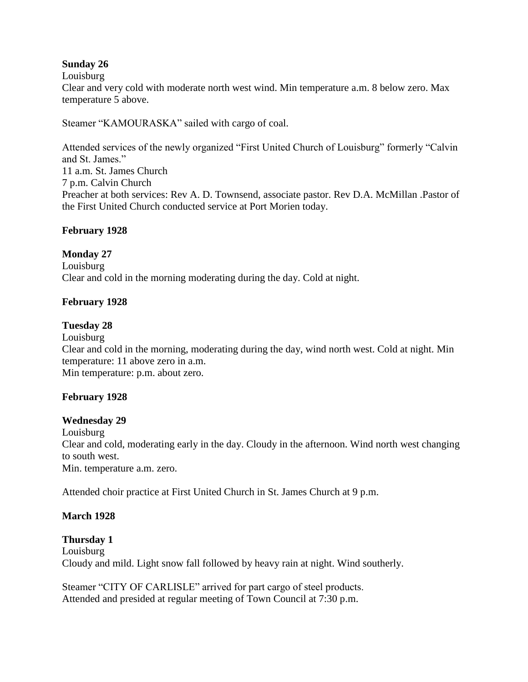# **Sunday 26**

Louisburg

Clear and very cold with moderate north west wind. Min temperature a.m. 8 below zero. Max temperature 5 above.

Steamer "KAMOURASKA" sailed with cargo of coal.

Attended services of the newly organized "First United Church of Louisburg" formerly "Calvin and St. James." 11 a.m. St. James Church 7 p.m. Calvin Church Preacher at both services: Rev A. D. Townsend, associate pastor. Rev D.A. McMillan .Pastor of the First United Church conducted service at Port Morien today.

# **February 1928**

# **Monday 27**

Louisburg Clear and cold in the morning moderating during the day. Cold at night.

# **February 1928**

# **Tuesday 28**

Louisburg Clear and cold in the morning, moderating during the day, wind north west. Cold at night. Min temperature: 11 above zero in a.m. Min temperature: p.m. about zero.

# **February 1928**

# **Wednesday 29**

Louisburg Clear and cold, moderating early in the day. Cloudy in the afternoon. Wind north west changing to south west. Min. temperature a.m. zero.

Attended choir practice at First United Church in St. James Church at 9 p.m.

# **March 1928**

**Thursday 1** Louisburg Cloudy and mild. Light snow fall followed by heavy rain at night. Wind southerly.

Steamer "CITY OF CARLISLE" arrived for part cargo of steel products. Attended and presided at regular meeting of Town Council at 7:30 p.m.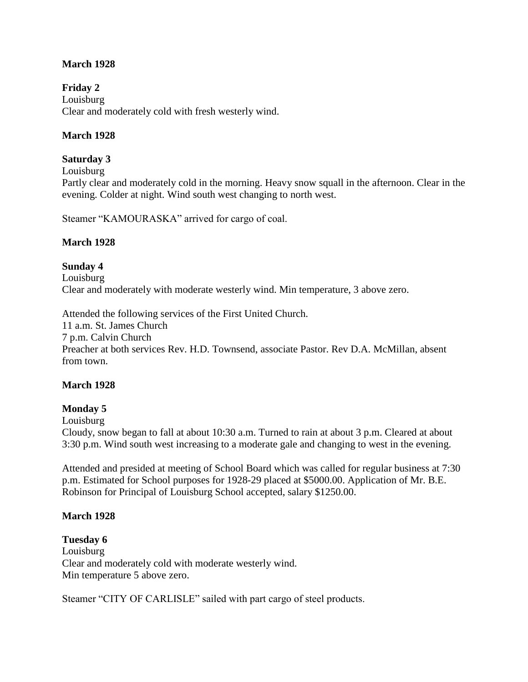# **March 1928**

**Friday 2** Louisburg Clear and moderately cold with fresh westerly wind.

# **March 1928**

# **Saturday 3**

Louisburg

Partly clear and moderately cold in the morning. Heavy snow squall in the afternoon. Clear in the evening. Colder at night. Wind south west changing to north west.

Steamer "KAMOURASKA" arrived for cargo of coal.

#### **March 1928**

# **Sunday 4**

Louisburg Clear and moderately with moderate westerly wind. Min temperature, 3 above zero.

Attended the following services of the First United Church.

11 a.m. St. James Church

7 p.m. Calvin Church

Preacher at both services Rev. H.D. Townsend, associate Pastor. Rev D.A. McMillan, absent from town.

# **March 1928**

# **Monday 5**

Louisburg

Cloudy, snow began to fall at about 10:30 a.m. Turned to rain at about 3 p.m. Cleared at about 3:30 p.m. Wind south west increasing to a moderate gale and changing to west in the evening.

Attended and presided at meeting of School Board which was called for regular business at 7:30 p.m. Estimated for School purposes for 1928-29 placed at \$5000.00. Application of Mr. B.E. Robinson for Principal of Louisburg School accepted, salary \$1250.00.

# **March 1928**

**Tuesday 6** Louisburg Clear and moderately cold with moderate westerly wind. Min temperature 5 above zero.

Steamer "CITY OF CARLISLE" sailed with part cargo of steel products.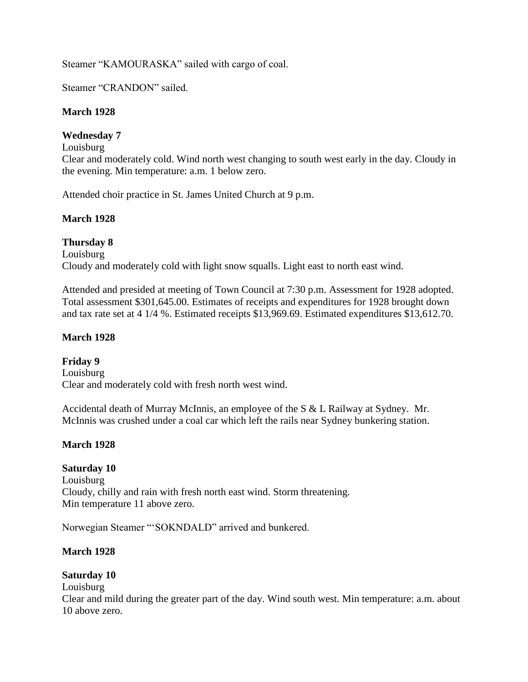Steamer "KAMOURASKA" sailed with cargo of coal.

Steamer "CRANDON" sailed.

# **March 1928**

# **Wednesday 7**

Louisburg

Clear and moderately cold. Wind north west changing to south west early in the day. Cloudy in the evening. Min temperature: a.m. 1 below zero.

Attended choir practice in St. James United Church at 9 p.m.

# **March 1928**

**Thursday 8** Louisburg Cloudy and moderately cold with light snow squalls. Light east to north east wind.

Attended and presided at meeting of Town Council at 7:30 p.m. Assessment for 1928 adopted. Total assessment \$301,645.00. Estimates of receipts and expenditures for 1928 brought down and tax rate set at 4 1/4 %. Estimated receipts \$13,969.69. Estimated expenditures \$13,612.70.

# **March 1928**

**Friday 9** Louisburg Clear and moderately cold with fresh north west wind.

Accidental death of Murray McInnis, an employee of the S & L Railway at Sydney. Mr. McInnis was crushed under a coal car which left the rails near Sydney bunkering station.

# **March 1928**

**Saturday 10** Louisburg Cloudy, chilly and rain with fresh north east wind. Storm threatening. Min temperature 11 above zero.

Norwegian Steamer "'SOKNDALD" arrived and bunkered.

# **March 1928**

# **Saturday 10**

Louisburg

Clear and mild during the greater part of the day. Wind south west. Min temperature: a.m. about 10 above zero.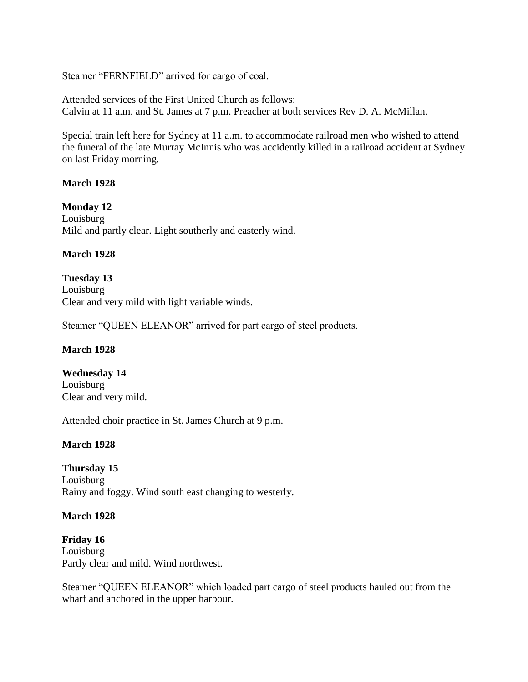Steamer "FERNFIELD" arrived for cargo of coal.

Attended services of the First United Church as follows: Calvin at 11 a.m. and St. James at 7 p.m. Preacher at both services Rev D. A. McMillan.

Special train left here for Sydney at 11 a.m. to accommodate railroad men who wished to attend the funeral of the late Murray McInnis who was accidently killed in a railroad accident at Sydney on last Friday morning.

#### **March 1928**

**Monday 12** Louisburg Mild and partly clear. Light southerly and easterly wind.

#### **March 1928**

**Tuesday 13** Louisburg Clear and very mild with light variable winds.

Steamer "QUEEN ELEANOR" arrived for part cargo of steel products.

# **March 1928**

**Wednesday 14** Louisburg Clear and very mild.

Attended choir practice in St. James Church at 9 p.m.

# **March 1928**

**Thursday 15** Louisburg Rainy and foggy. Wind south east changing to westerly.

#### **March 1928**

**Friday 16** Louisburg Partly clear and mild. Wind northwest.

Steamer "QUEEN ELEANOR" which loaded part cargo of steel products hauled out from the wharf and anchored in the upper harbour.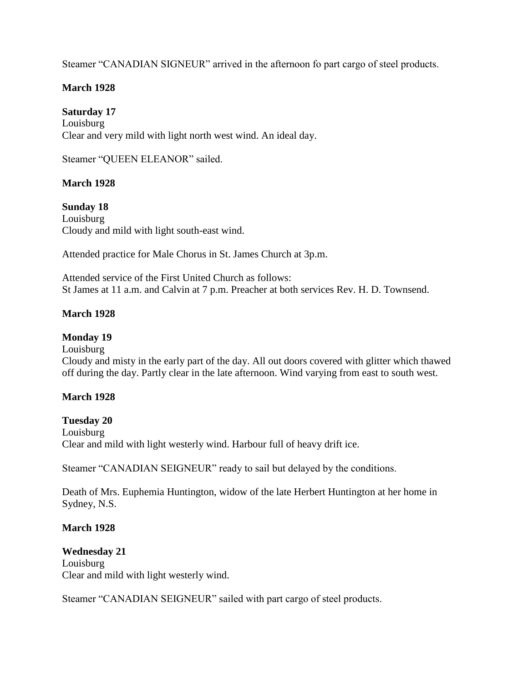Steamer "CANADIAN SIGNEUR" arrived in the afternoon fo part cargo of steel products.

# **March 1928**

# **Saturday 17**

Louisburg Clear and very mild with light north west wind. An ideal day.

Steamer "QUEEN ELEANOR" sailed.

# **March 1928**

**Sunday 18** Louisburg Cloudy and mild with light south-east wind.

Attended practice for Male Chorus in St. James Church at 3p.m.

Attended service of the First United Church as follows: St James at 11 a.m. and Calvin at 7 p.m. Preacher at both services Rev. H. D. Townsend.

# **March 1928**

# **Monday 19**

Louisburg

Cloudy and misty in the early part of the day. All out doors covered with glitter which thawed off during the day. Partly clear in the late afternoon. Wind varying from east to south west.

# **March 1928**

# **Tuesday 20**

Louisburg Clear and mild with light westerly wind. Harbour full of heavy drift ice.

Steamer "CANADIAN SEIGNEUR" ready to sail but delayed by the conditions.

Death of Mrs. Euphemia Huntington, widow of the late Herbert Huntington at her home in Sydney, N.S.

# **March 1928**

# **Wednesday 21**

Louisburg Clear and mild with light westerly wind.

Steamer "CANADIAN SEIGNEUR" sailed with part cargo of steel products.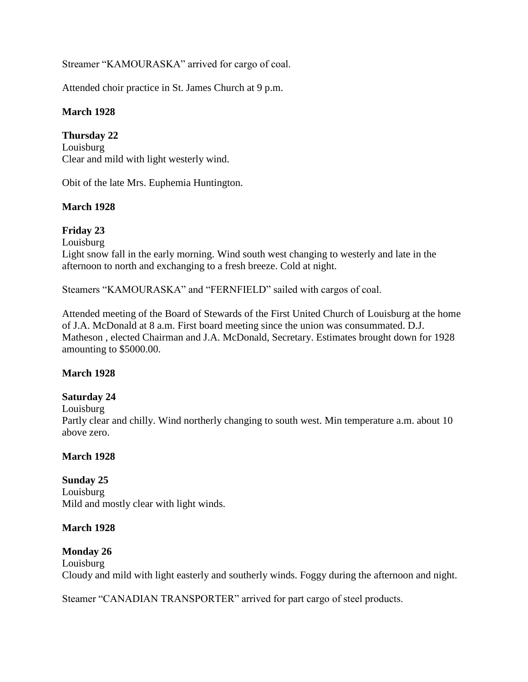Streamer "KAMOURASKA" arrived for cargo of coal.

Attended choir practice in St. James Church at 9 p.m.

# **March 1928**

**Thursday 22** Louisburg Clear and mild with light westerly wind.

Obit of the late Mrs. Euphemia Huntington.

# **March 1928**

# **Friday 23**

Louisburg

Light snow fall in the early morning. Wind south west changing to westerly and late in the afternoon to north and exchanging to a fresh breeze. Cold at night.

Steamers "KAMOURASKA" and "FERNFIELD" sailed with cargos of coal.

Attended meeting of the Board of Stewards of the First United Church of Louisburg at the home of J.A. McDonald at 8 a.m. First board meeting since the union was consummated. D.J. Matheson , elected Chairman and J.A. McDonald, Secretary. Estimates brought down for 1928 amounting to \$5000.00.

# **March 1928**

# **Saturday 24**

Louisburg

Partly clear and chilly. Wind northerly changing to south west. Min temperature a.m. about 10 above zero.

# **March 1928**

# **Sunday 25**

Louisburg Mild and mostly clear with light winds.

# **March 1928**

# **Monday 26**

Louisburg Cloudy and mild with light easterly and southerly winds. Foggy during the afternoon and night.

Steamer "CANADIAN TRANSPORTER" arrived for part cargo of steel products.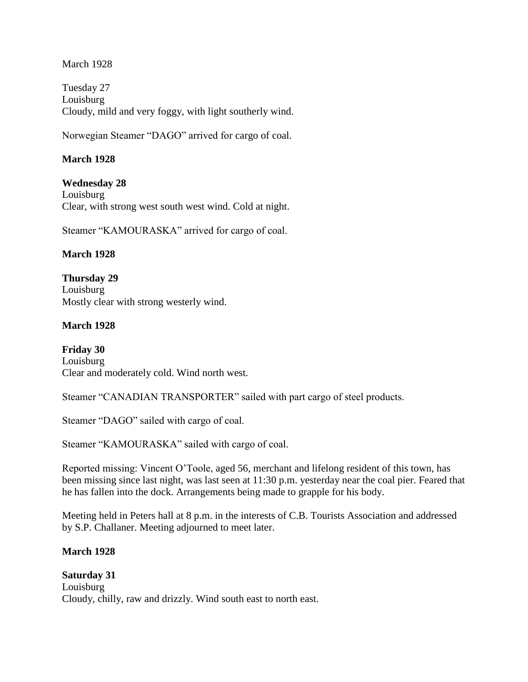March 1928

Tuesday 27 Louisburg Cloudy, mild and very foggy, with light southerly wind.

Norwegian Steamer "DAGO" arrived for cargo of coal.

# **March 1928**

**Wednesday 28** Louisburg Clear, with strong west south west wind. Cold at night.

Steamer "KAMOURASKA" arrived for cargo of coal.

# **March 1928**

**Thursday 29** Louisburg Mostly clear with strong westerly wind.

# **March 1928**

**Friday 30** Louisburg Clear and moderately cold. Wind north west.

Steamer "CANADIAN TRANSPORTER" sailed with part cargo of steel products.

Steamer "DAGO" sailed with cargo of coal.

Steamer "KAMOURASKA" sailed with cargo of coal.

Reported missing: Vincent O'Toole, aged 56, merchant and lifelong resident of this town, has been missing since last night, was last seen at 11:30 p.m. yesterday near the coal pier. Feared that he has fallen into the dock. Arrangements being made to grapple for his body.

Meeting held in Peters hall at 8 p.m. in the interests of C.B. Tourists Association and addressed by S.P. Challaner. Meeting adjourned to meet later.

# **March 1928**

**Saturday 31** Louisburg Cloudy, chilly, raw and drizzly. Wind south east to north east.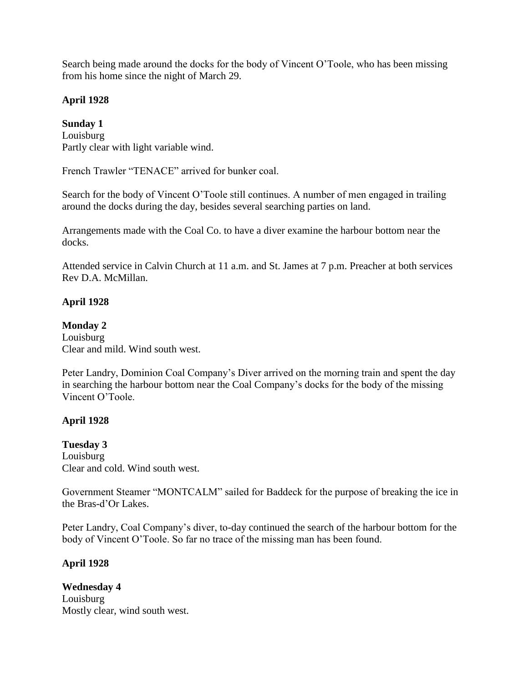Search being made around the docks for the body of Vincent O'Toole, who has been missing from his home since the night of March 29.

# **April 1928**

# **Sunday 1**

Louisburg Partly clear with light variable wind.

French Trawler "TENACE" arrived for bunker coal.

Search for the body of Vincent O'Toole still continues. A number of men engaged in trailing around the docks during the day, besides several searching parties on land.

Arrangements made with the Coal Co. to have a diver examine the harbour bottom near the docks.

Attended service in Calvin Church at 11 a.m. and St. James at 7 p.m. Preacher at both services Rev D.A. McMillan.

# **April 1928**

# **Monday 2**

Louisburg Clear and mild. Wind south west.

Peter Landry, Dominion Coal Company's Diver arrived on the morning train and spent the day in searching the harbour bottom near the Coal Company's docks for the body of the missing Vincent O'Toole.

# **April 1928**

**Tuesday 3** Louisburg Clear and cold. Wind south west.

Government Steamer "MONTCALM" sailed for Baddeck for the purpose of breaking the ice in the Bras-d'Or Lakes.

Peter Landry, Coal Company's diver, to-day continued the search of the harbour bottom for the body of Vincent O'Toole. So far no trace of the missing man has been found.

# **April 1928**

**Wednesday 4** Louisburg Mostly clear, wind south west.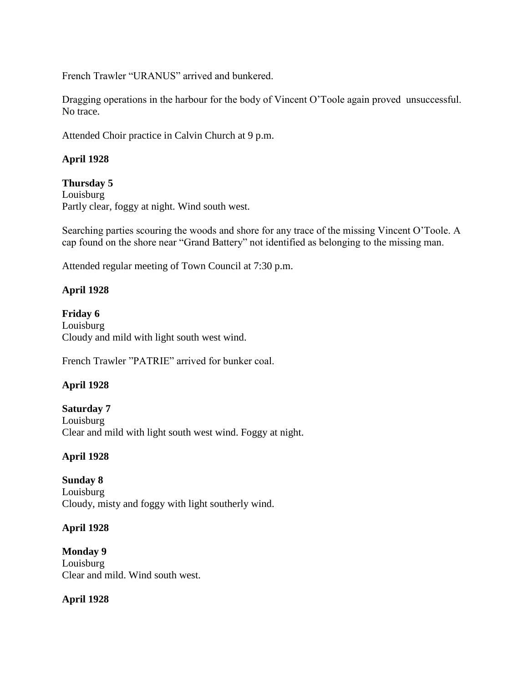French Trawler "URANUS" arrived and bunkered.

Dragging operations in the harbour for the body of Vincent O'Toole again proved unsuccessful. No trace.

Attended Choir practice in Calvin Church at 9 p.m.

# **April 1928**

**Thursday 5**

Louisburg Partly clear, foggy at night. Wind south west.

Searching parties scouring the woods and shore for any trace of the missing Vincent O'Toole. A cap found on the shore near "Grand Battery" not identified as belonging to the missing man.

Attended regular meeting of Town Council at 7:30 p.m.

# **April 1928**

**Friday 6** Louisburg Cloudy and mild with light south west wind.

French Trawler "PATRIE" arrived for bunker coal.

# **April 1928**

**Saturday 7** Louisburg Clear and mild with light south west wind. Foggy at night.

# **April 1928**

**Sunday 8** Louisburg Cloudy, misty and foggy with light southerly wind.

# **April 1928**

**Monday 9** Louisburg Clear and mild. Wind south west.

# **April 1928**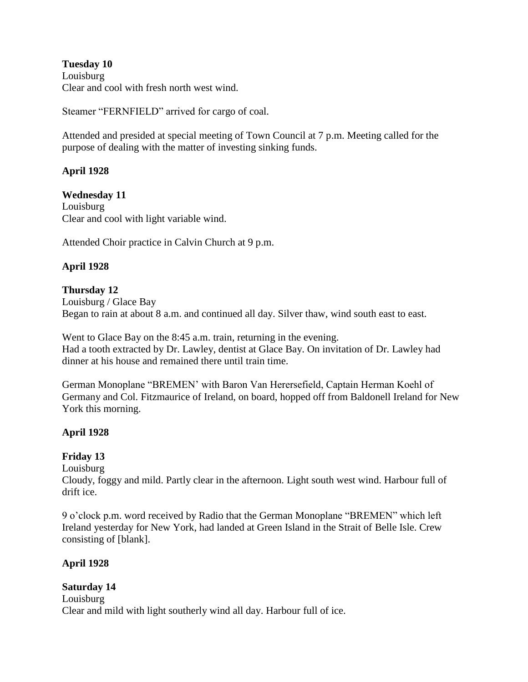**Tuesday 10** Louisburg Clear and cool with fresh north west wind.

Steamer "FERNFIELD" arrived for cargo of coal.

Attended and presided at special meeting of Town Council at 7 p.m. Meeting called for the purpose of dealing with the matter of investing sinking funds.

# **April 1928**

**Wednesday 11** Louisburg Clear and cool with light variable wind.

Attended Choir practice in Calvin Church at 9 p.m.

# **April 1928**

#### **Thursday 12**

Louisburg / Glace Bay Began to rain at about 8 a.m. and continued all day. Silver thaw, wind south east to east.

Went to Glace Bay on the 8:45 a.m. train, returning in the evening. Had a tooth extracted by Dr. Lawley, dentist at Glace Bay. On invitation of Dr. Lawley had dinner at his house and remained there until train time.

German Monoplane "BREMEN' with Baron Van Herersefield, Captain Herman Koehl of Germany and Col. Fitzmaurice of Ireland, on board, hopped off from Baldonell Ireland for New York this morning.

# **April 1928**

# **Friday 13**

Louisburg

Cloudy, foggy and mild. Partly clear in the afternoon. Light south west wind. Harbour full of drift ice.

9 o'clock p.m. word received by Radio that the German Monoplane "BREMEN" which left Ireland yesterday for New York, had landed at Green Island in the Strait of Belle Isle. Crew consisting of [blank].

# **April 1928**

# **Saturday 14**

Louisburg Clear and mild with light southerly wind all day. Harbour full of ice.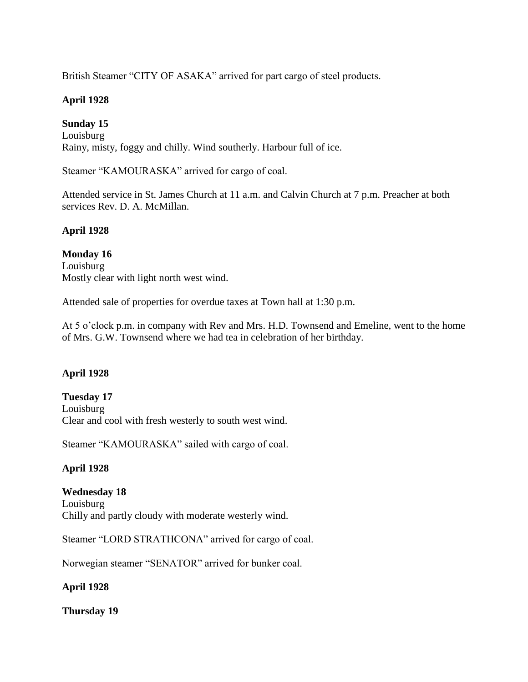British Steamer "CITY OF ASAKA" arrived for part cargo of steel products.

# **April 1928**

# **Sunday 15**

Louisburg Rainy, misty, foggy and chilly. Wind southerly. Harbour full of ice.

Steamer "KAMOURASKA" arrived for cargo of coal.

Attended service in St. James Church at 11 a.m. and Calvin Church at 7 p.m. Preacher at both services Rev. D. A. McMillan.

# **April 1928**

**Monday 16** Louisburg Mostly clear with light north west wind.

Attended sale of properties for overdue taxes at Town hall at 1:30 p.m.

At 5 o'clock p.m. in company with Rev and Mrs. H.D. Townsend and Emeline, went to the home of Mrs. G.W. Townsend where we had tea in celebration of her birthday.

# **April 1928**

**Tuesday 17**  Louisburg Clear and cool with fresh westerly to south west wind.

Steamer "KAMOURASKA" sailed with cargo of coal.

# **April 1928**

**Wednesday 18** Louisburg Chilly and partly cloudy with moderate westerly wind.

Steamer "LORD STRATHCONA" arrived for cargo of coal.

Norwegian steamer "SENATOR" arrived for bunker coal.

# **April 1928**

**Thursday 19**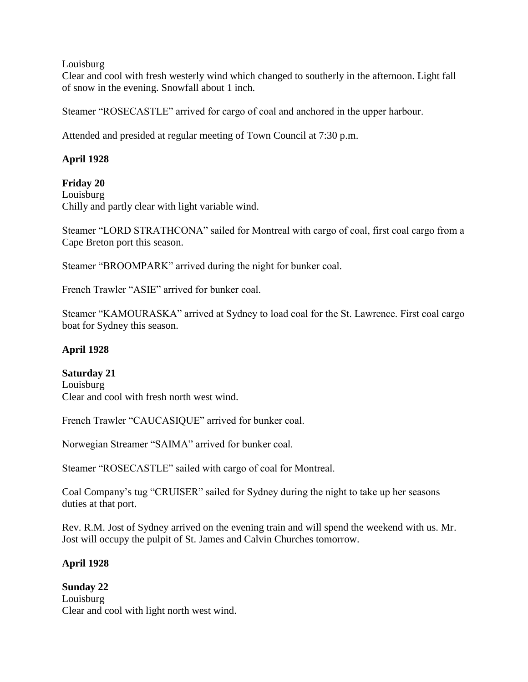#### Louisburg

Clear and cool with fresh westerly wind which changed to southerly in the afternoon. Light fall of snow in the evening. Snowfall about 1 inch.

Steamer "ROSECASTLE" arrived for cargo of coal and anchored in the upper harbour.

Attended and presided at regular meeting of Town Council at 7:30 p.m.

# **April 1928**

# **Friday 20**

Louisburg Chilly and partly clear with light variable wind.

Steamer "LORD STRATHCONA" sailed for Montreal with cargo of coal, first coal cargo from a Cape Breton port this season.

Steamer "BROOMPARK" arrived during the night for bunker coal.

French Trawler "ASIE" arrived for bunker coal.

Steamer "KAMOURASKA" arrived at Sydney to load coal for the St. Lawrence. First coal cargo boat for Sydney this season.

# **April 1928**

# **Saturday 21**

Louisburg Clear and cool with fresh north west wind.

French Trawler "CAUCASIQUE" arrived for bunker coal.

Norwegian Streamer "SAIMA" arrived for bunker coal.

Steamer "ROSECASTLE" sailed with cargo of coal for Montreal.

Coal Company's tug "CRUISER" sailed for Sydney during the night to take up her seasons duties at that port.

Rev. R.M. Jost of Sydney arrived on the evening train and will spend the weekend with us. Mr. Jost will occupy the pulpit of St. James and Calvin Churches tomorrow.

# **April 1928**

# **Sunday 22**

Louisburg Clear and cool with light north west wind.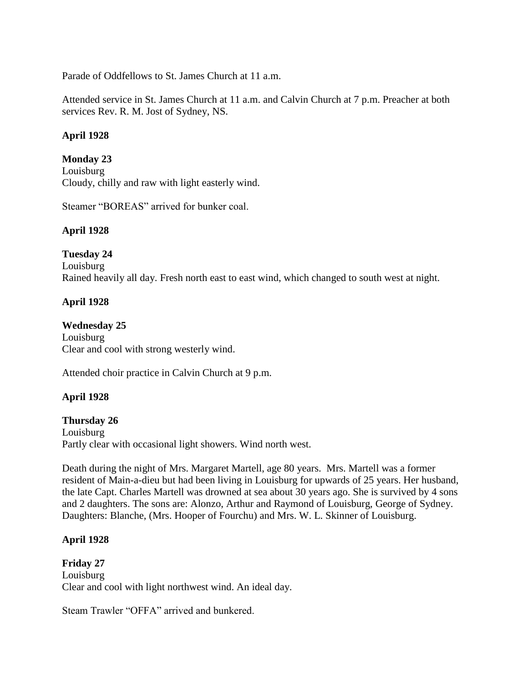Parade of Oddfellows to St. James Church at 11 a.m.

Attended service in St. James Church at 11 a.m. and Calvin Church at 7 p.m. Preacher at both services Rev. R. M. Jost of Sydney, NS.

# **April 1928**

# **Monday 23**

Louisburg Cloudy, chilly and raw with light easterly wind.

Steamer "BOREAS" arrived for bunker coal.

# **April 1928**

**Tuesday 24** Louisburg Rained heavily all day. Fresh north east to east wind, which changed to south west at night.

# **April 1928**

**Wednesday 25** Louisburg Clear and cool with strong westerly wind.

Attended choir practice in Calvin Church at 9 p.m.

# **April 1928**

# **Thursday 26**

Louisburg Partly clear with occasional light showers. Wind north west.

Death during the night of Mrs. Margaret Martell, age 80 years. Mrs. Martell was a former resident of Main-a-dieu but had been living in Louisburg for upwards of 25 years. Her husband, the late Capt. Charles Martell was drowned at sea about 30 years ago. She is survived by 4 sons and 2 daughters. The sons are: Alonzo, Arthur and Raymond of Louisburg, George of Sydney. Daughters: Blanche, (Mrs. Hooper of Fourchu) and Mrs. W. L. Skinner of Louisburg.

# **April 1928**

**Friday 27** Louisburg Clear and cool with light northwest wind. An ideal day.

Steam Trawler "OFFA" arrived and bunkered.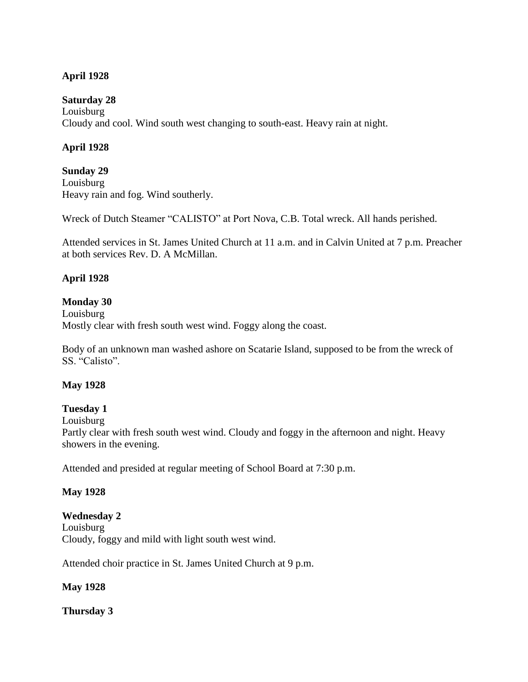# **April 1928**

#### **Saturday 28**

Louisburg Cloudy and cool. Wind south west changing to south-east. Heavy rain at night.

# **April 1928**

**Sunday 29** Louisburg Heavy rain and fog. Wind southerly.

Wreck of Dutch Steamer "CALISTO" at Port Nova, C.B. Total wreck. All hands perished.

Attended services in St. James United Church at 11 a.m. and in Calvin United at 7 p.m. Preacher at both services Rev. D. A McMillan.

# **April 1928**

# **Monday 30**

Louisburg Mostly clear with fresh south west wind. Foggy along the coast.

Body of an unknown man washed ashore on Scatarie Island, supposed to be from the wreck of SS. "Calisto".

# **May 1928**

# **Tuesday 1**

Louisburg

Partly clear with fresh south west wind. Cloudy and foggy in the afternoon and night. Heavy showers in the evening.

Attended and presided at regular meeting of School Board at 7:30 p.m.

# **May 1928**

#### **Wednesday 2**

Louisburg Cloudy, foggy and mild with light south west wind.

Attended choir practice in St. James United Church at 9 p.m.

#### **May 1928**

**Thursday 3**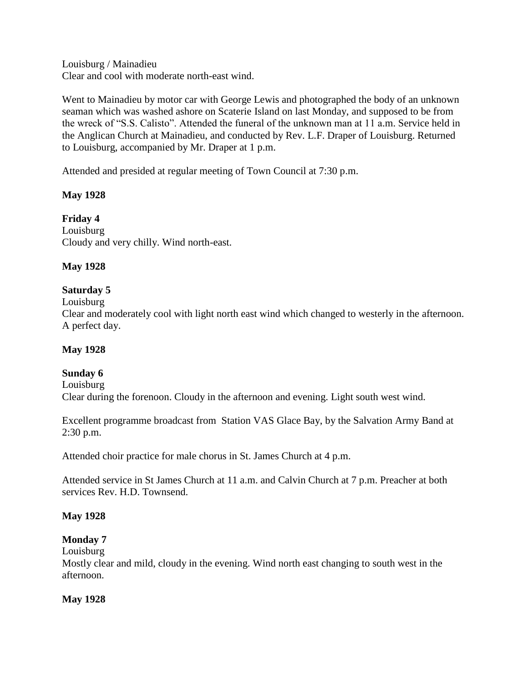Louisburg / Mainadieu Clear and cool with moderate north-east wind.

Went to Mainadieu by motor car with George Lewis and photographed the body of an unknown seaman which was washed ashore on Scaterie Island on last Monday, and supposed to be from the wreck of "S.S. Calisto". Attended the funeral of the unknown man at 11 a.m. Service held in the Anglican Church at Mainadieu, and conducted by Rev. L.F. Draper of Louisburg. Returned to Louisburg, accompanied by Mr. Draper at 1 p.m.

Attended and presided at regular meeting of Town Council at 7:30 p.m.

# **May 1928**

**Friday 4** Louisburg Cloudy and very chilly. Wind north-east.

# **May 1928**

# **Saturday 5**

Louisburg

Clear and moderately cool with light north east wind which changed to westerly in the afternoon. A perfect day.

# **May 1928**

# **Sunday 6**

Louisburg Clear during the forenoon. Cloudy in the afternoon and evening. Light south west wind.

Excellent programme broadcast from Station VAS Glace Bay, by the Salvation Army Band at 2:30 p.m.

Attended choir practice for male chorus in St. James Church at 4 p.m.

Attended service in St James Church at 11 a.m. and Calvin Church at 7 p.m. Preacher at both services Rev. H.D. Townsend.

# **May 1928**

**Monday 7**

Louisburg Mostly clear and mild, cloudy in the evening. Wind north east changing to south west in the afternoon.

# **May 1928**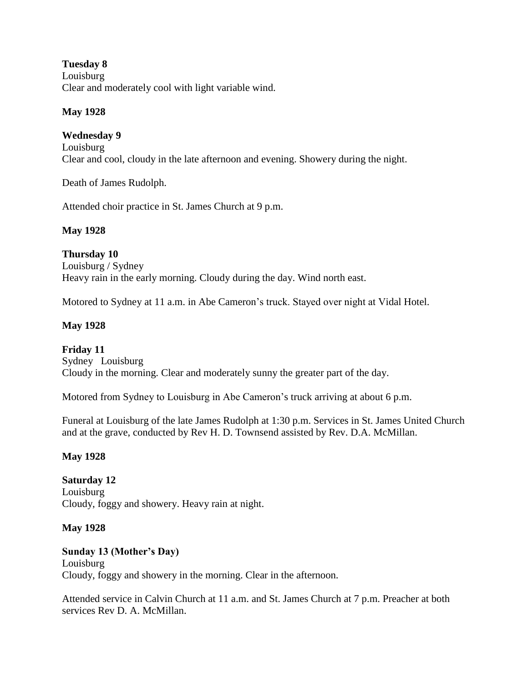**Tuesday 8** Louisburg Clear and moderately cool with light variable wind.

# **May 1928**

# **Wednesday 9**

Louisburg Clear and cool, cloudy in the late afternoon and evening. Showery during the night.

Death of James Rudolph.

Attended choir practice in St. James Church at 9 p.m.

# **May 1928**

**Thursday 10** Louisburg / Sydney Heavy rain in the early morning. Cloudy during the day. Wind north east.

Motored to Sydney at 11 a.m. in Abe Cameron's truck. Stayed over night at Vidal Hotel.

# **May 1928**

**Friday 11** Sydney Louisburg Cloudy in the morning. Clear and moderately sunny the greater part of the day.

Motored from Sydney to Louisburg in Abe Cameron's truck arriving at about 6 p.m.

Funeral at Louisburg of the late James Rudolph at 1:30 p.m. Services in St. James United Church and at the grave, conducted by Rev H. D. Townsend assisted by Rev. D.A. McMillan.

# **May 1928**

**Saturday 12** Louisburg Cloudy, foggy and showery. Heavy rain at night.

# **May 1928**

# **Sunday 13 (Mother's Day)** Louisburg Cloudy, foggy and showery in the morning. Clear in the afternoon.

Attended service in Calvin Church at 11 a.m. and St. James Church at 7 p.m. Preacher at both services Rev D. A. McMillan.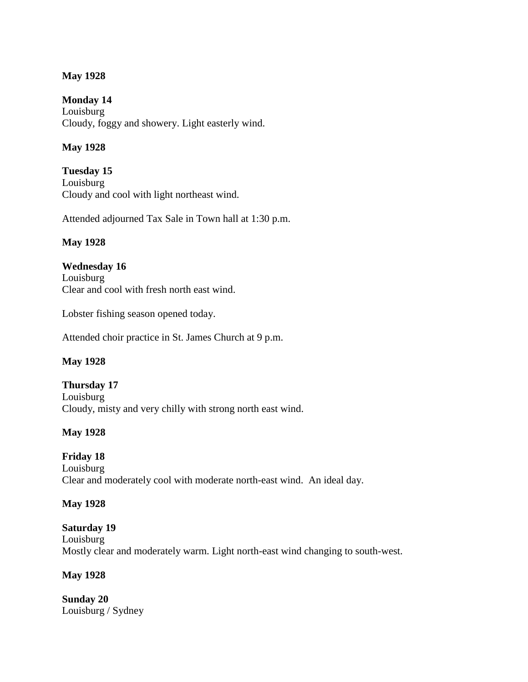#### **May 1928**

**Monday 14** Louisburg Cloudy, foggy and showery. Light easterly wind.

# **May 1928**

**Tuesday 15** Louisburg Cloudy and cool with light northeast wind.

Attended adjourned Tax Sale in Town hall at 1:30 p.m.

#### **May 1928**

**Wednesday 16** Louisburg Clear and cool with fresh north east wind.

Lobster fishing season opened today.

Attended choir practice in St. James Church at 9 p.m.

#### **May 1928**

**Thursday 17** Louisburg Cloudy, misty and very chilly with strong north east wind.

# **May 1928**

# **Friday 18**

Louisburg Clear and moderately cool with moderate north-east wind. An ideal day.

#### **May 1928**

# **Saturday 19** Louisburg Mostly clear and moderately warm. Light north-east wind changing to south-west.

# **May 1928**

**Sunday 20** Louisburg / Sydney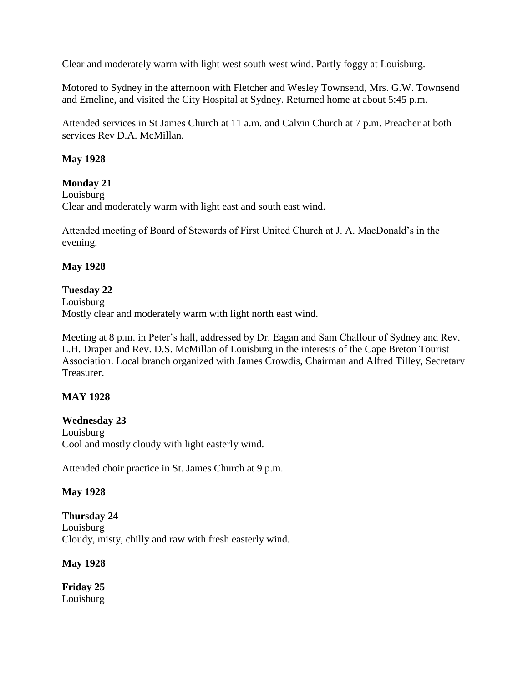Clear and moderately warm with light west south west wind. Partly foggy at Louisburg.

Motored to Sydney in the afternoon with Fletcher and Wesley Townsend, Mrs. G.W. Townsend and Emeline, and visited the City Hospital at Sydney. Returned home at about 5:45 p.m.

Attended services in St James Church at 11 a.m. and Calvin Church at 7 p.m. Preacher at both services Rev D.A. McMillan.

# **May 1928**

#### **Monday 21**

Louisburg

Clear and moderately warm with light east and south east wind.

Attended meeting of Board of Stewards of First United Church at J. A. MacDonald's in the evening.

#### **May 1928**

#### **Tuesday 22**

Louisburg Mostly clear and moderately warm with light north east wind.

Meeting at 8 p.m. in Peter's hall, addressed by Dr. Eagan and Sam Challour of Sydney and Rev. L.H. Draper and Rev. D.S. McMillan of Louisburg in the interests of the Cape Breton Tourist Association. Local branch organized with James Crowdis, Chairman and Alfred Tilley, Secretary Treasurer.

# **MAY 1928**

#### **Wednesday 23**

Louisburg Cool and mostly cloudy with light easterly wind.

Attended choir practice in St. James Church at 9 p.m.

# **May 1928**

**Thursday 24** Louisburg Cloudy, misty, chilly and raw with fresh easterly wind.

**May 1928**

**Friday 25** Louisburg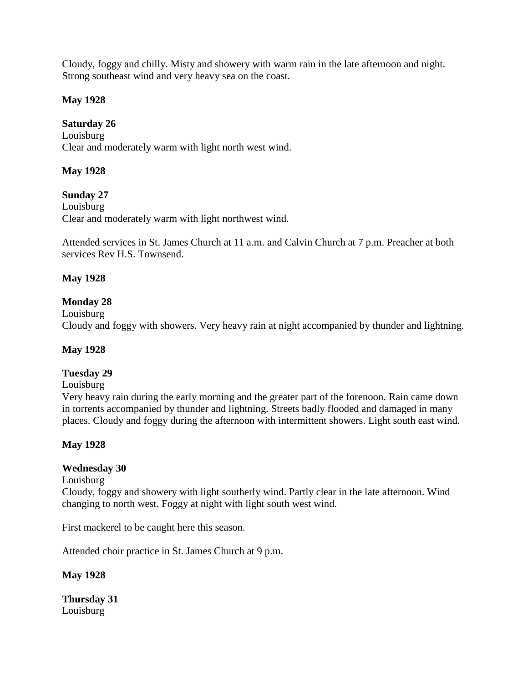Cloudy, foggy and chilly. Misty and showery with warm rain in the late afternoon and night. Strong southeast wind and very heavy sea on the coast.

# **May 1928**

# **Saturday 26**

Louisburg Clear and moderately warm with light north west wind.

# **May 1928**

**Sunday 27** Louisburg Clear and moderately warm with light northwest wind.

Attended services in St. James Church at 11 a.m. and Calvin Church at 7 p.m. Preacher at both services Rev H.S. Townsend.

# **May 1928**

# **Monday 28**

Louisburg

Cloudy and foggy with showers. Very heavy rain at night accompanied by thunder and lightning.

# **May 1928**

# **Tuesday 29**

#### Louisburg

Very heavy rain during the early morning and the greater part of the forenoon. Rain came down in torrents accompanied by thunder and lightning. Streets badly flooded and damaged in many places. Cloudy and foggy during the afternoon with intermittent showers. Light south east wind.

# **May 1928**

# **Wednesday 30**

Louisburg

Cloudy, foggy and showery with light southerly wind. Partly clear in the late afternoon. Wind changing to north west. Foggy at night with light south west wind.

First mackerel to be caught here this season.

Attended choir practice in St. James Church at 9 p.m.

# **May 1928**

**Thursday 31** Louisburg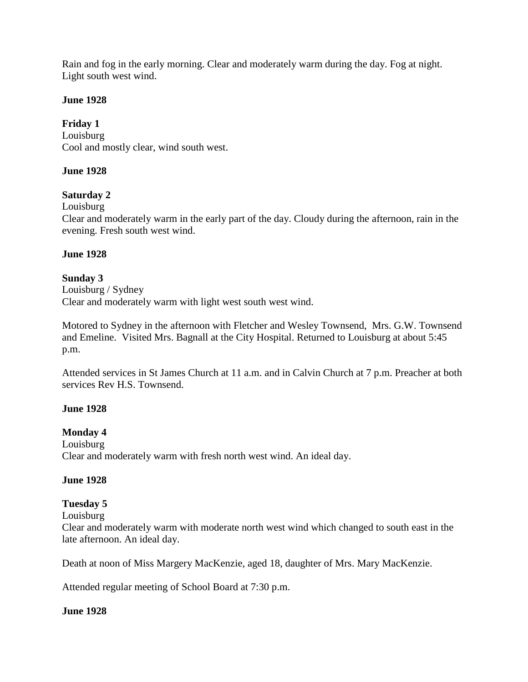Rain and fog in the early morning. Clear and moderately warm during the day. Fog at night. Light south west wind.

#### **June 1928**

# **Friday 1**

Louisburg Cool and mostly clear, wind south west.

# **June 1928**

# **Saturday 2**

Louisburg

Clear and moderately warm in the early part of the day. Cloudy during the afternoon, rain in the evening. Fresh south west wind.

#### **June 1928**

# **Sunday 3**

Louisburg / Sydney Clear and moderately warm with light west south west wind.

Motored to Sydney in the afternoon with Fletcher and Wesley Townsend, Mrs. G.W. Townsend and Emeline. Visited Mrs. Bagnall at the City Hospital. Returned to Louisburg at about 5:45 p.m.

Attended services in St James Church at 11 a.m. and in Calvin Church at 7 p.m. Preacher at both services Rev H.S. Townsend.

# **June 1928**

# **Monday 4**

Louisburg Clear and moderately warm with fresh north west wind. An ideal day.

#### **June 1928**

# **Tuesday 5**

Louisburg

Clear and moderately warm with moderate north west wind which changed to south east in the late afternoon. An ideal day.

Death at noon of Miss Margery MacKenzie, aged 18, daughter of Mrs. Mary MacKenzie.

Attended regular meeting of School Board at 7:30 p.m.

# **June 1928**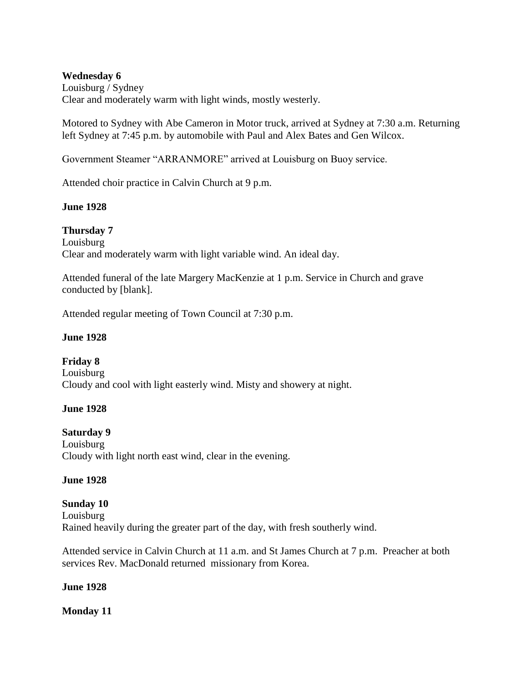#### **Wednesday 6**

Louisburg / Sydney Clear and moderately warm with light winds, mostly westerly.

Motored to Sydney with Abe Cameron in Motor truck, arrived at Sydney at 7:30 a.m. Returning left Sydney at 7:45 p.m. by automobile with Paul and Alex Bates and Gen Wilcox.

Government Steamer "ARRANMORE" arrived at Louisburg on Buoy service.

Attended choir practice in Calvin Church at 9 p.m.

#### **June 1928**

**Thursday 7** Louisburg Clear and moderately warm with light variable wind. An ideal day.

Attended funeral of the late Margery MacKenzie at 1 p.m. Service in Church and grave conducted by [blank].

Attended regular meeting of Town Council at 7:30 p.m.

#### **June 1928**

**Friday 8** Louisburg Cloudy and cool with light easterly wind. Misty and showery at night.

#### **June 1928**

#### **Saturday 9**

Louisburg Cloudy with light north east wind, clear in the evening.

#### **June 1928**

**Sunday 10** Louisburg Rained heavily during the greater part of the day, with fresh southerly wind.

Attended service in Calvin Church at 11 a.m. and St James Church at 7 p.m. Preacher at both services Rev. MacDonald returned missionary from Korea.

#### **June 1928**

#### **Monday 11**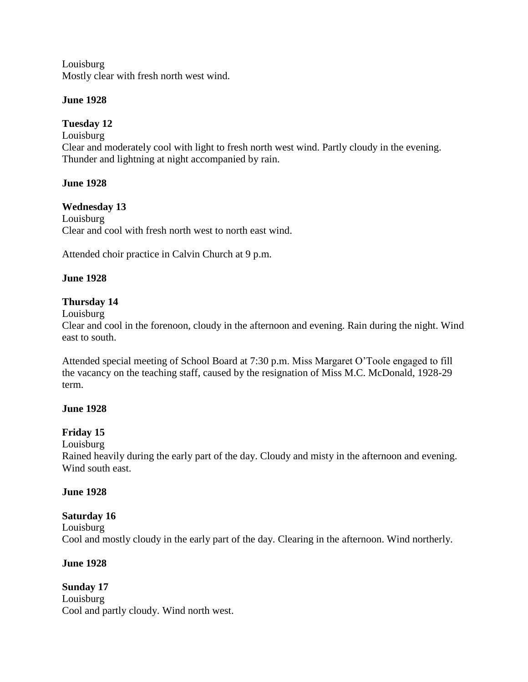Louisburg Mostly clear with fresh north west wind.

# **June 1928**

# **Tuesday 12**

Louisburg Clear and moderately cool with light to fresh north west wind. Partly cloudy in the evening. Thunder and lightning at night accompanied by rain.

# **June 1928**

# **Wednesday 13**

Louisburg Clear and cool with fresh north west to north east wind.

Attended choir practice in Calvin Church at 9 p.m.

# **June 1928**

# **Thursday 14**

Louisburg

Clear and cool in the forenoon, cloudy in the afternoon and evening. Rain during the night. Wind east to south.

Attended special meeting of School Board at 7:30 p.m. Miss Margaret O'Toole engaged to fill the vacancy on the teaching staff, caused by the resignation of Miss M.C. McDonald, 1928-29 term.

#### **June 1928**

# **Friday 15**

Louisburg

Rained heavily during the early part of the day. Cloudy and misty in the afternoon and evening. Wind south east.

# **June 1928**

# **Saturday 16**

Louisburg Cool and mostly cloudy in the early part of the day. Clearing in the afternoon. Wind northerly.

# **June 1928**

**Sunday 17** Louisburg Cool and partly cloudy. Wind north west.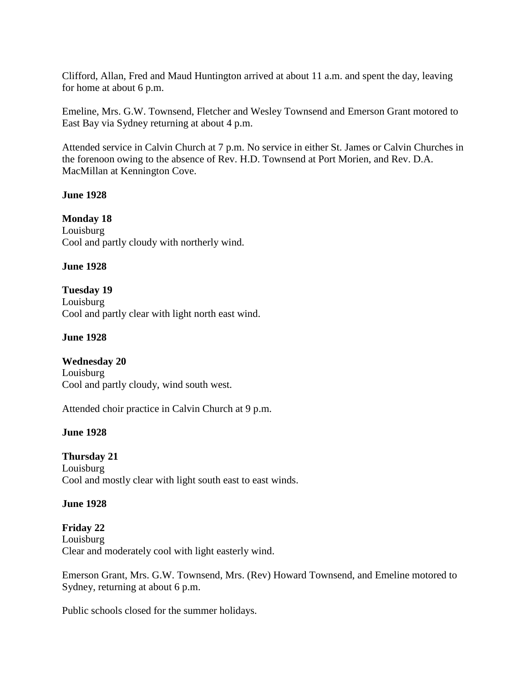Clifford, Allan, Fred and Maud Huntington arrived at about 11 a.m. and spent the day, leaving for home at about 6 p.m.

Emeline, Mrs. G.W. Townsend, Fletcher and Wesley Townsend and Emerson Grant motored to East Bay via Sydney returning at about 4 p.m.

Attended service in Calvin Church at 7 p.m. No service in either St. James or Calvin Churches in the forenoon owing to the absence of Rev. H.D. Townsend at Port Morien, and Rev. D.A. MacMillan at Kennington Cove.

#### **June 1928**

**Monday 18** Louisburg Cool and partly cloudy with northerly wind.

#### **June 1928**

**Tuesday 19** Louisburg Cool and partly clear with light north east wind.

#### **June 1928**

**Wednesday 20** Louisburg Cool and partly cloudy, wind south west.

Attended choir practice in Calvin Church at 9 p.m.

# **June 1928**

**Thursday 21** Louisburg Cool and mostly clear with light south east to east winds.

# **June 1928**

**Friday 22** Louisburg Clear and moderately cool with light easterly wind.

Emerson Grant, Mrs. G.W. Townsend, Mrs. (Rev) Howard Townsend, and Emeline motored to Sydney, returning at about 6 p.m.

Public schools closed for the summer holidays.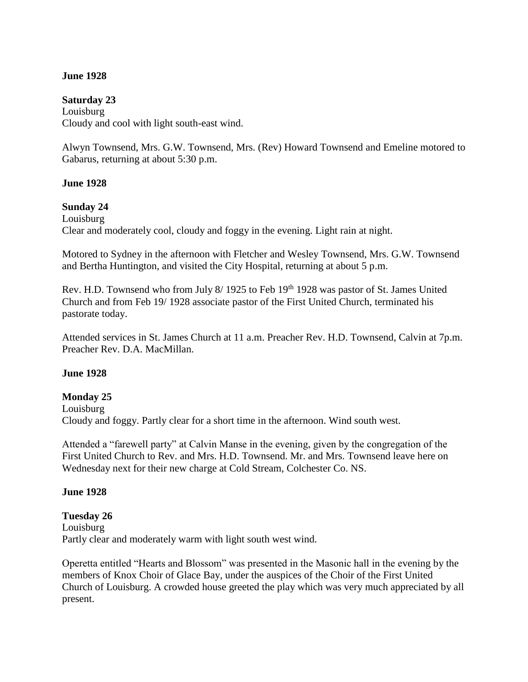### **June 1928**

# **Saturday 23** Louisburg

Cloudy and cool with light south-east wind.

Alwyn Townsend, Mrs. G.W. Townsend, Mrs. (Rev) Howard Townsend and Emeline motored to Gabarus, returning at about 5:30 p.m.

### **June 1928**

### **Sunday 24**

Louisburg Clear and moderately cool, cloudy and foggy in the evening. Light rain at night.

Motored to Sydney in the afternoon with Fletcher and Wesley Townsend, Mrs. G.W. Townsend and Bertha Huntington, and visited the City Hospital, returning at about 5 p.m.

Rev. H.D. Townsend who from July 8/1925 to Feb 19<sup>th</sup> 1928 was pastor of St. James United Church and from Feb 19/ 1928 associate pastor of the First United Church, terminated his pastorate today.

Attended services in St. James Church at 11 a.m. Preacher Rev. H.D. Townsend, Calvin at 7p.m. Preacher Rev. D.A. MacMillan.

#### **June 1928**

### **Monday 25**

Louisburg Cloudy and foggy. Partly clear for a short time in the afternoon. Wind south west.

Attended a "farewell party" at Calvin Manse in the evening, given by the congregation of the First United Church to Rev. and Mrs. H.D. Townsend. Mr. and Mrs. Townsend leave here on Wednesday next for their new charge at Cold Stream, Colchester Co. NS.

#### **June 1928**

### **Tuesday 26** Louisburg Partly clear and moderately warm with light south west wind.

Operetta entitled "Hearts and Blossom" was presented in the Masonic hall in the evening by the members of Knox Choir of Glace Bay, under the auspices of the Choir of the First United Church of Louisburg. A crowded house greeted the play which was very much appreciated by all present.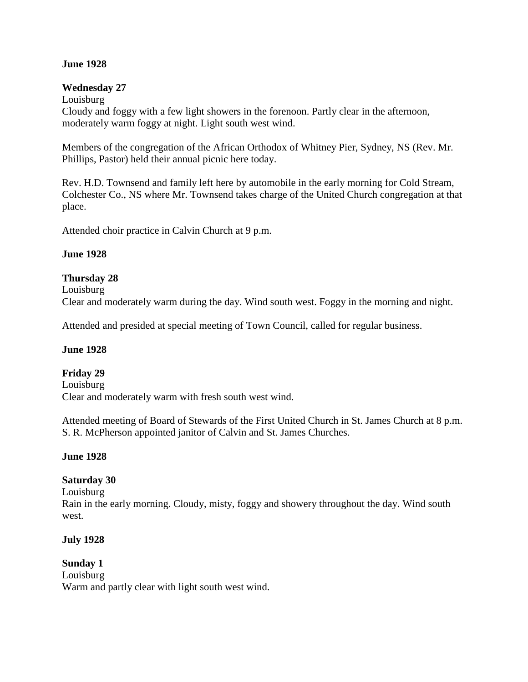### **June 1928**

#### **Wednesday 27**

Louisburg Cloudy and foggy with a few light showers in the forenoon. Partly clear in the afternoon, moderately warm foggy at night. Light south west wind.

Members of the congregation of the African Orthodox of Whitney Pier, Sydney, NS (Rev. Mr. Phillips, Pastor) held their annual picnic here today.

Rev. H.D. Townsend and family left here by automobile in the early morning for Cold Stream, Colchester Co., NS where Mr. Townsend takes charge of the United Church congregation at that place.

Attended choir practice in Calvin Church at 9 p.m.

#### **June 1928**

#### **Thursday 28**

Louisburg

Clear and moderately warm during the day. Wind south west. Foggy in the morning and night.

Attended and presided at special meeting of Town Council, called for regular business.

#### **June 1928**

#### **Friday 29**

Louisburg Clear and moderately warm with fresh south west wind.

Attended meeting of Board of Stewards of the First United Church in St. James Church at 8 p.m. S. R. McPherson appointed janitor of Calvin and St. James Churches.

#### **June 1928**

#### **Saturday 30**

Louisburg Rain in the early morning. Cloudy, misty, foggy and showery throughout the day. Wind south west.

#### **July 1928**

**Sunday 1** Louisburg Warm and partly clear with light south west wind.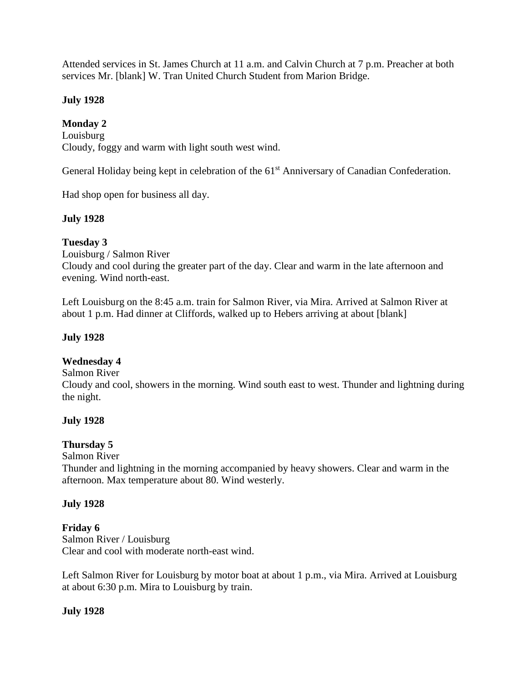Attended services in St. James Church at 11 a.m. and Calvin Church at 7 p.m. Preacher at both services Mr. [blank] W. Tran United Church Student from Marion Bridge.

# **July 1928**

# **Monday 2**

Louisburg Cloudy, foggy and warm with light south west wind.

General Holiday being kept in celebration of the 61<sup>st</sup> Anniversary of Canadian Confederation.

Had shop open for business all day.

### **July 1928**

# **Tuesday 3**

Louisburg / Salmon River Cloudy and cool during the greater part of the day. Clear and warm in the late afternoon and evening. Wind north-east.

Left Louisburg on the 8:45 a.m. train for Salmon River, via Mira. Arrived at Salmon River at about 1 p.m. Had dinner at Cliffords, walked up to Hebers arriving at about [blank]

### **July 1928**

### **Wednesday 4**

#### Salmon River

Cloudy and cool, showers in the morning. Wind south east to west. Thunder and lightning during the night.

### **July 1928**

### **Thursday 5**

#### Salmon River

Thunder and lightning in the morning accompanied by heavy showers. Clear and warm in the afternoon. Max temperature about 80. Wind westerly.

### **July 1928**

### **Friday 6**

Salmon River / Louisburg Clear and cool with moderate north-east wind.

Left Salmon River for Louisburg by motor boat at about 1 p.m., via Mira. Arrived at Louisburg at about 6:30 p.m. Mira to Louisburg by train.

### **July 1928**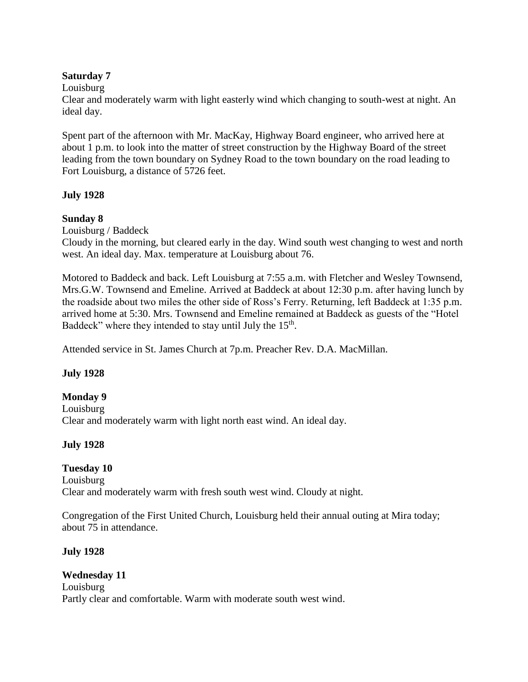### **Saturday 7**

Louisburg

Clear and moderately warm with light easterly wind which changing to south-west at night. An ideal day.

Spent part of the afternoon with Mr. MacKay, Highway Board engineer, who arrived here at about 1 p.m. to look into the matter of street construction by the Highway Board of the street leading from the town boundary on Sydney Road to the town boundary on the road leading to Fort Louisburg, a distance of 5726 feet.

# **July 1928**

# **Sunday 8**

Louisburg / Baddeck

Cloudy in the morning, but cleared early in the day. Wind south west changing to west and north west. An ideal day. Max. temperature at Louisburg about 76.

Motored to Baddeck and back. Left Louisburg at 7:55 a.m. with Fletcher and Wesley Townsend, Mrs.G.W. Townsend and Emeline. Arrived at Baddeck at about 12:30 p.m. after having lunch by the roadside about two miles the other side of Ross's Ferry. Returning, left Baddeck at 1:35 p.m. arrived home at 5:30. Mrs. Townsend and Emeline remained at Baddeck as guests of the "Hotel Baddeck" where they intended to stay until July the 15<sup>th</sup>.

Attended service in St. James Church at 7p.m. Preacher Rev. D.A. MacMillan.

### **July 1928**

**Monday 9** Louisburg Clear and moderately warm with light north east wind. An ideal day.

# **July 1928**

**Tuesday 10** Louisburg Clear and moderately warm with fresh south west wind. Cloudy at night.

Congregation of the First United Church, Louisburg held their annual outing at Mira today; about 75 in attendance.

# **July 1928**

**Wednesday 11** Louisburg Partly clear and comfortable. Warm with moderate south west wind.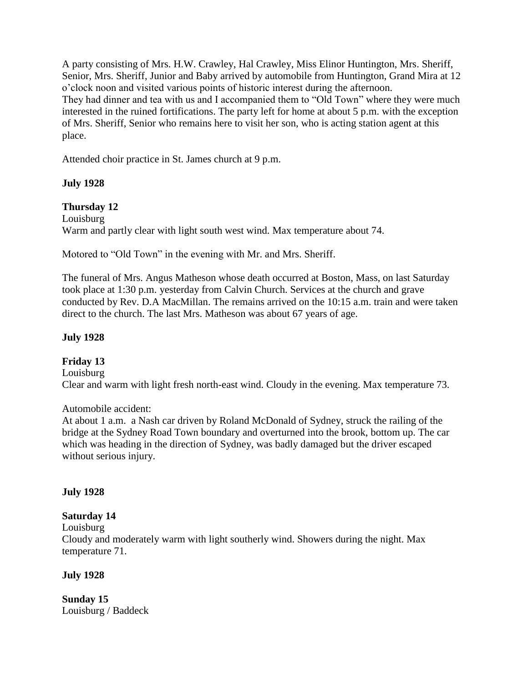A party consisting of Mrs. H.W. Crawley, Hal Crawley, Miss Elinor Huntington, Mrs. Sheriff, Senior, Mrs. Sheriff, Junior and Baby arrived by automobile from Huntington, Grand Mira at 12 o'clock noon and visited various points of historic interest during the afternoon. They had dinner and tea with us and I accompanied them to "Old Town" where they were much interested in the ruined fortifications. The party left for home at about 5 p.m. with the exception of Mrs. Sheriff, Senior who remains here to visit her son, who is acting station agent at this place.

Attended choir practice in St. James church at 9 p.m.

### **July 1928**

### **Thursday 12**

Louisburg Warm and partly clear with light south west wind. Max temperature about 74.

Motored to "Old Town" in the evening with Mr. and Mrs. Sheriff.

The funeral of Mrs. Angus Matheson whose death occurred at Boston, Mass, on last Saturday took place at 1:30 p.m. yesterday from Calvin Church. Services at the church and grave conducted by Rev. D.A MacMillan. The remains arrived on the 10:15 a.m. train and were taken direct to the church. The last Mrs. Matheson was about 67 years of age.

### **July 1928**

### **Friday 13**

Louisburg Clear and warm with light fresh north-east wind. Cloudy in the evening. Max temperature 73.

Automobile accident:

At about 1 a.m. a Nash car driven by Roland McDonald of Sydney, struck the railing of the bridge at the Sydney Road Town boundary and overturned into the brook, bottom up. The car which was heading in the direction of Sydney, was badly damaged but the driver escaped without serious injury.

### **July 1928**

### **Saturday 14**

Louisburg

Cloudy and moderately warm with light southerly wind. Showers during the night. Max temperature 71.

### **July 1928**

**Sunday 15**  Louisburg / Baddeck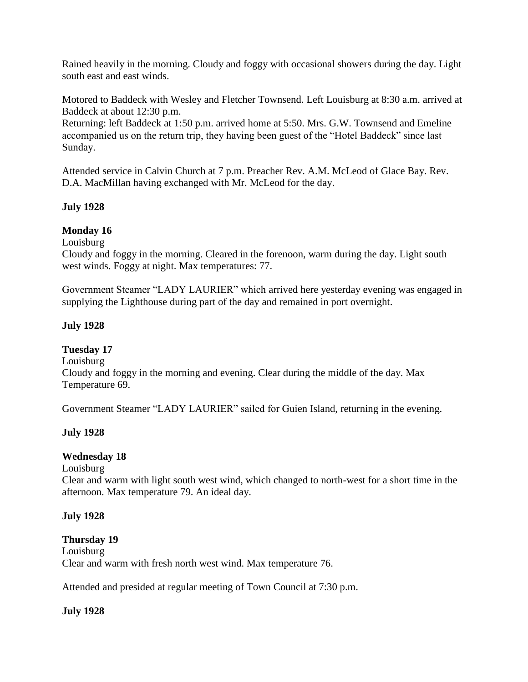Rained heavily in the morning. Cloudy and foggy with occasional showers during the day. Light south east and east winds.

Motored to Baddeck with Wesley and Fletcher Townsend. Left Louisburg at 8:30 a.m. arrived at Baddeck at about 12:30 p.m.

Returning: left Baddeck at 1:50 p.m. arrived home at 5:50. Mrs. G.W. Townsend and Emeline accompanied us on the return trip, they having been guest of the "Hotel Baddeck" since last Sunday.

Attended service in Calvin Church at 7 p.m. Preacher Rev. A.M. McLeod of Glace Bay. Rev. D.A. MacMillan having exchanged with Mr. McLeod for the day.

# **July 1928**

# **Monday 16**

Louisburg

Cloudy and foggy in the morning. Cleared in the forenoon, warm during the day. Light south west winds. Foggy at night. Max temperatures: 77.

Government Steamer "LADY LAURIER" which arrived here yesterday evening was engaged in supplying the Lighthouse during part of the day and remained in port overnight.

# **July 1928**

### **Tuesday 17**

Louisburg Cloudy and foggy in the morning and evening. Clear during the middle of the day. Max Temperature 69.

Government Steamer "LADY LAURIER" sailed for Guien Island, returning in the evening.

# **July 1928**

### **Wednesday 18**

Louisburg

Clear and warm with light south west wind, which changed to north-west for a short time in the afternoon. Max temperature 79. An ideal day.

### **July 1928**

**Thursday 19** Louisburg Clear and warm with fresh north west wind. Max temperature 76.

Attended and presided at regular meeting of Town Council at 7:30 p.m.

# **July 1928**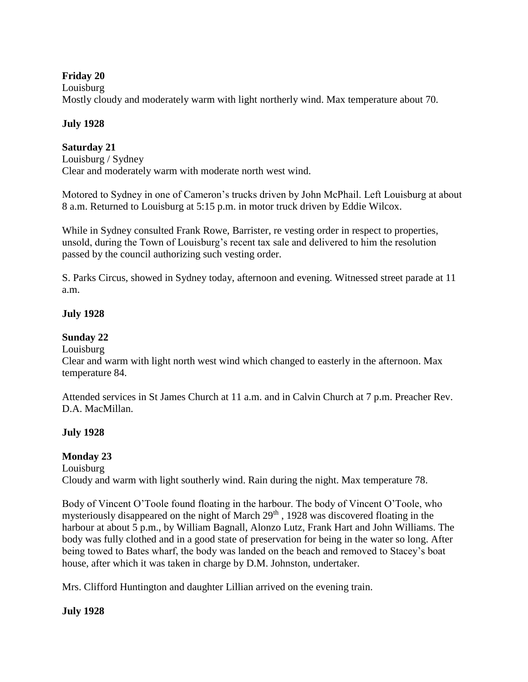# **Friday 20**

Louisburg

Mostly cloudy and moderately warm with light northerly wind. Max temperature about 70.

# **July 1928**

# **Saturday 21**

Louisburg / Sydney Clear and moderately warm with moderate north west wind.

Motored to Sydney in one of Cameron's trucks driven by John McPhail. Left Louisburg at about 8 a.m. Returned to Louisburg at 5:15 p.m. in motor truck driven by Eddie Wilcox.

While in Sydney consulted Frank Rowe, Barrister, re vesting order in respect to properties, unsold, during the Town of Louisburg's recent tax sale and delivered to him the resolution passed by the council authorizing such vesting order.

S. Parks Circus, showed in Sydney today, afternoon and evening. Witnessed street parade at 11 a.m.

# **July 1928**

# **Sunday 22**

Louisburg

Clear and warm with light north west wind which changed to easterly in the afternoon. Max temperature 84.

Attended services in St James Church at 11 a.m. and in Calvin Church at 7 p.m. Preacher Rev. D.A. MacMillan.

# **July 1928**

# **Monday 23**

Louisburg

Cloudy and warm with light southerly wind. Rain during the night. Max temperature 78.

Body of Vincent O'Toole found floating in the harbour. The body of Vincent O'Toole, who mysteriously disappeared on the night of March 29<sup>th</sup>, 1928 was discovered floating in the harbour at about 5 p.m., by William Bagnall, Alonzo Lutz, Frank Hart and John Williams. The body was fully clothed and in a good state of preservation for being in the water so long. After being towed to Bates wharf, the body was landed on the beach and removed to Stacey's boat house, after which it was taken in charge by D.M. Johnston, undertaker.

Mrs. Clifford Huntington and daughter Lillian arrived on the evening train.

# **July 1928**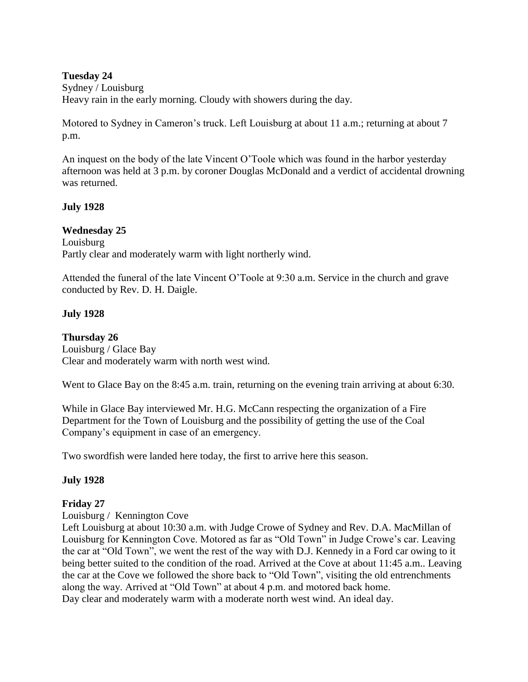### **Tuesday 24**

Sydney / Louisburg Heavy rain in the early morning. Cloudy with showers during the day.

Motored to Sydney in Cameron's truck. Left Louisburg at about 11 a.m.; returning at about 7 p.m.

An inquest on the body of the late Vincent O'Toole which was found in the harbor yesterday afternoon was held at 3 p.m. by coroner Douglas McDonald and a verdict of accidental drowning was returned.

# **July 1928**

**Wednesday 25** Louisburg Partly clear and moderately warm with light northerly wind.

Attended the funeral of the late Vincent O'Toole at 9:30 a.m. Service in the church and grave conducted by Rev. D. H. Daigle.

# **July 1928**

# **Thursday 26**

Louisburg / Glace Bay Clear and moderately warm with north west wind.

Went to Glace Bay on the 8:45 a.m. train, returning on the evening train arriving at about 6:30.

While in Glace Bay interviewed Mr. H.G. McCann respecting the organization of a Fire Department for the Town of Louisburg and the possibility of getting the use of the Coal Company's equipment in case of an emergency.

Two swordfish were landed here today, the first to arrive here this season.

### **July 1928**

# **Friday 27**

Louisburg / Kennington Cove

Left Louisburg at about 10:30 a.m. with Judge Crowe of Sydney and Rev. D.A. MacMillan of Louisburg for Kennington Cove. Motored as far as "Old Town" in Judge Crowe's car. Leaving the car at "Old Town", we went the rest of the way with D.J. Kennedy in a Ford car owing to it being better suited to the condition of the road. Arrived at the Cove at about 11:45 a.m.. Leaving the car at the Cove we followed the shore back to "Old Town", visiting the old entrenchments along the way. Arrived at "Old Town" at about 4 p.m. and motored back home. Day clear and moderately warm with a moderate north west wind. An ideal day.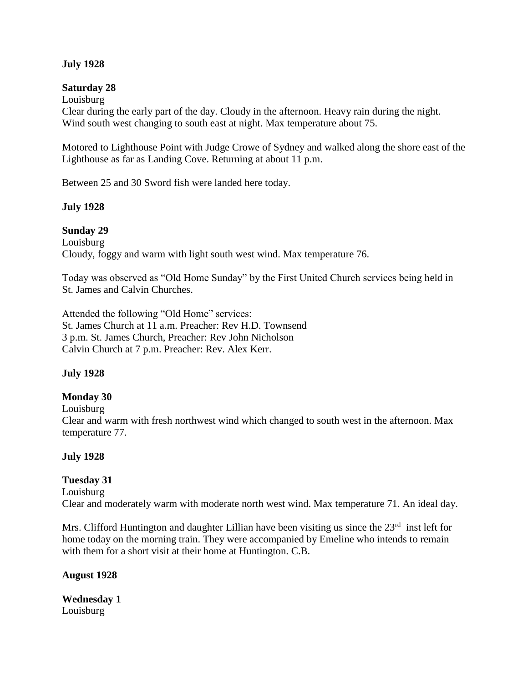### **July 1928**

### **Saturday 28**

Louisburg Clear during the early part of the day. Cloudy in the afternoon. Heavy rain during the night. Wind south west changing to south east at night. Max temperature about 75.

Motored to Lighthouse Point with Judge Crowe of Sydney and walked along the shore east of the Lighthouse as far as Landing Cove. Returning at about 11 p.m.

Between 25 and 30 Sword fish were landed here today.

### **July 1928**

### **Sunday 29**

Louisburg Cloudy, foggy and warm with light south west wind. Max temperature 76.

Today was observed as "Old Home Sunday" by the First United Church services being held in St. James and Calvin Churches.

Attended the following "Old Home" services: St. James Church at 11 a.m. Preacher: Rev H.D. Townsend 3 p.m. St. James Church, Preacher: Rev John Nicholson Calvin Church at 7 p.m. Preacher: Rev. Alex Kerr.

### **July 1928**

### **Monday 30**

Louisburg

Clear and warm with fresh northwest wind which changed to south west in the afternoon. Max temperature 77.

### **July 1928**

### **Tuesday 31**

Louisburg Clear and moderately warm with moderate north west wind. Max temperature 71. An ideal day.

Mrs. Clifford Huntington and daughter Lillian have been visiting us since the 23<sup>rd</sup> inst left for home today on the morning train. They were accompanied by Emeline who intends to remain with them for a short visit at their home at Huntington. C.B.

# **August 1928**

**Wednesday 1** Louisburg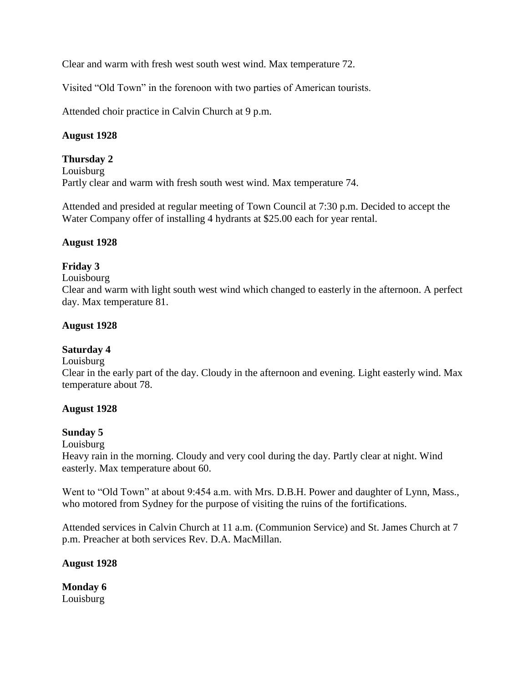Clear and warm with fresh west south west wind. Max temperature 72.

Visited "Old Town" in the forenoon with two parties of American tourists.

Attended choir practice in Calvin Church at 9 p.m.

### **August 1928**

#### **Thursday 2**

Louisburg Partly clear and warm with fresh south west wind. Max temperature 74.

Attended and presided at regular meeting of Town Council at 7:30 p.m. Decided to accept the Water Company offer of installing 4 hydrants at \$25.00 each for year rental.

### **August 1928**

### **Friday 3**

Louisbourg

Clear and warm with light south west wind which changed to easterly in the afternoon. A perfect day. Max temperature 81.

#### **August 1928**

#### **Saturday 4**

Louisburg

Clear in the early part of the day. Cloudy in the afternoon and evening. Light easterly wind. Max temperature about 78.

#### **August 1928**

#### **Sunday 5**

Louisburg

Heavy rain in the morning. Cloudy and very cool during the day. Partly clear at night. Wind easterly. Max temperature about 60.

Went to "Old Town" at about 9:454 a.m. with Mrs. D.B.H. Power and daughter of Lynn, Mass., who motored from Sydney for the purpose of visiting the ruins of the fortifications.

Attended services in Calvin Church at 11 a.m. (Communion Service) and St. James Church at 7 p.m. Preacher at both services Rev. D.A. MacMillan.

**August 1928**

**Monday 6** Louisburg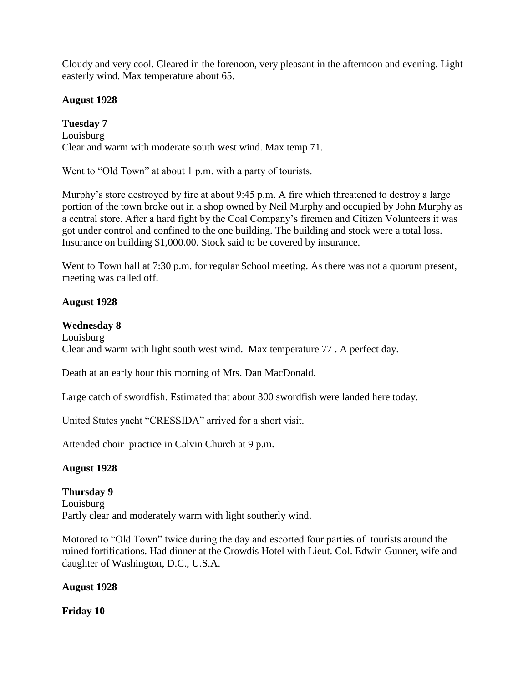Cloudy and very cool. Cleared in the forenoon, very pleasant in the afternoon and evening. Light easterly wind. Max temperature about 65.

### **August 1928**

# **Tuesday 7**

Louisburg Clear and warm with moderate south west wind. Max temp 71.

Went to "Old Town" at about 1 p.m. with a party of tourists.

Murphy's store destroyed by fire at about 9:45 p.m. A fire which threatened to destroy a large portion of the town broke out in a shop owned by Neil Murphy and occupied by John Murphy as a central store. After a hard fight by the Coal Company's firemen and Citizen Volunteers it was got under control and confined to the one building. The building and stock were a total loss. Insurance on building \$1,000.00. Stock said to be covered by insurance.

Went to Town hall at 7:30 p.m. for regular School meeting. As there was not a quorum present, meeting was called off.

### **August 1928**

### **Wednesday 8**

Louisburg Clear and warm with light south west wind. Max temperature 77 . A perfect day.

Death at an early hour this morning of Mrs. Dan MacDonald.

Large catch of swordfish. Estimated that about 300 swordfish were landed here today.

United States yacht "CRESSIDA" arrived for a short visit.

Attended choir practice in Calvin Church at 9 p.m.

#### **August 1928**

#### **Thursday 9**

Louisburg Partly clear and moderately warm with light southerly wind.

Motored to "Old Town" twice during the day and escorted four parties of tourists around the ruined fortifications. Had dinner at the Crowdis Hotel with Lieut. Col. Edwin Gunner, wife and daughter of Washington, D.C., U.S.A.

#### **August 1928**

**Friday 10**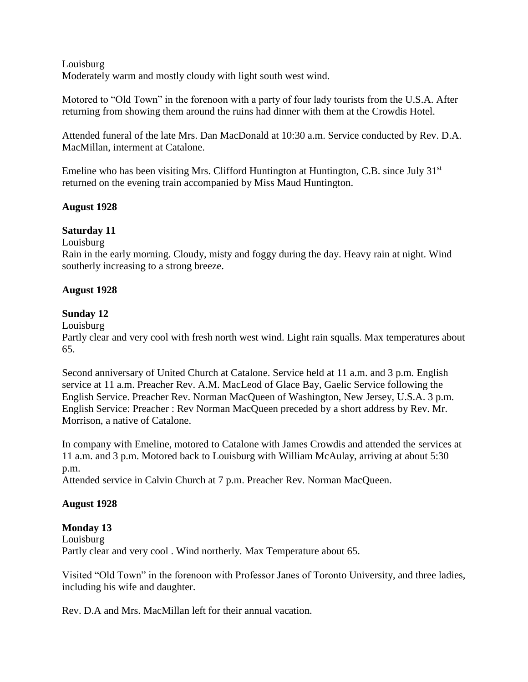### Louisburg Moderately warm and mostly cloudy with light south west wind.

Motored to "Old Town" in the forenoon with a party of four lady tourists from the U.S.A. After returning from showing them around the ruins had dinner with them at the Crowdis Hotel.

Attended funeral of the late Mrs. Dan MacDonald at 10:30 a.m. Service conducted by Rev. D.A. MacMillan, interment at Catalone.

Emeline who has been visiting Mrs. Clifford Huntington at Huntington, C.B. since July  $31<sup>st</sup>$ returned on the evening train accompanied by Miss Maud Huntington.

### **August 1928**

# **Saturday 11**

Louisburg

Rain in the early morning. Cloudy, misty and foggy during the day. Heavy rain at night. Wind southerly increasing to a strong breeze.

### **August 1928**

### **Sunday 12**

Louisburg

Partly clear and very cool with fresh north west wind. Light rain squalls. Max temperatures about 65.

Second anniversary of United Church at Catalone. Service held at 11 a.m. and 3 p.m. English service at 11 a.m. Preacher Rev. A.M. MacLeod of Glace Bay, Gaelic Service following the English Service. Preacher Rev. Norman MacQueen of Washington, New Jersey, U.S.A. 3 p.m. English Service: Preacher : Rev Norman MacQueen preceded by a short address by Rev. Mr. Morrison, a native of Catalone.

In company with Emeline, motored to Catalone with James Crowdis and attended the services at 11 a.m. and 3 p.m. Motored back to Louisburg with William McAulay, arriving at about 5:30 p.m.

Attended service in Calvin Church at 7 p.m. Preacher Rev. Norman MacQueen.

### **August 1928**

### **Monday 13**

Louisburg Partly clear and very cool . Wind northerly. Max Temperature about 65.

Visited "Old Town" in the forenoon with Professor Janes of Toronto University, and three ladies, including his wife and daughter.

Rev. D.A and Mrs. MacMillan left for their annual vacation.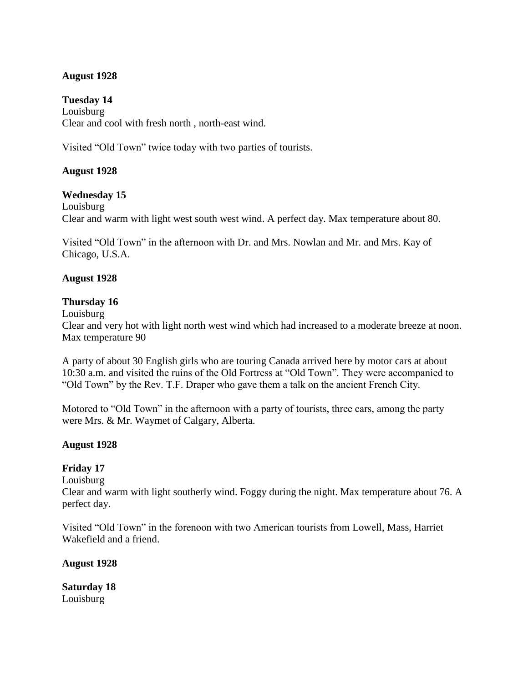### **August 1928**

**Tuesday 14** Louisburg Clear and cool with fresh north , north-east wind.

Visited "Old Town" twice today with two parties of tourists.

# **August 1928**

### **Wednesday 15**

Louisburg Clear and warm with light west south west wind. A perfect day. Max temperature about 80.

Visited "Old Town" in the afternoon with Dr. and Mrs. Nowlan and Mr. and Mrs. Kay of Chicago, U.S.A.

### **August 1928**

### **Thursday 16**

Louisburg

Clear and very hot with light north west wind which had increased to a moderate breeze at noon. Max temperature 90

A party of about 30 English girls who are touring Canada arrived here by motor cars at about 10:30 a.m. and visited the ruins of the Old Fortress at "Old Town". They were accompanied to "Old Town" by the Rev. T.F. Draper who gave them a talk on the ancient French City.

Motored to "Old Town" in the afternoon with a party of tourists, three cars, among the party were Mrs. & Mr. Waymet of Calgary, Alberta.

### **August 1928**

# **Friday 17**

Louisburg

Clear and warm with light southerly wind. Foggy during the night. Max temperature about 76. A perfect day.

Visited "Old Town" in the forenoon with two American tourists from Lowell, Mass, Harriet Wakefield and a friend.

### **August 1928**

**Saturday 18** Louisburg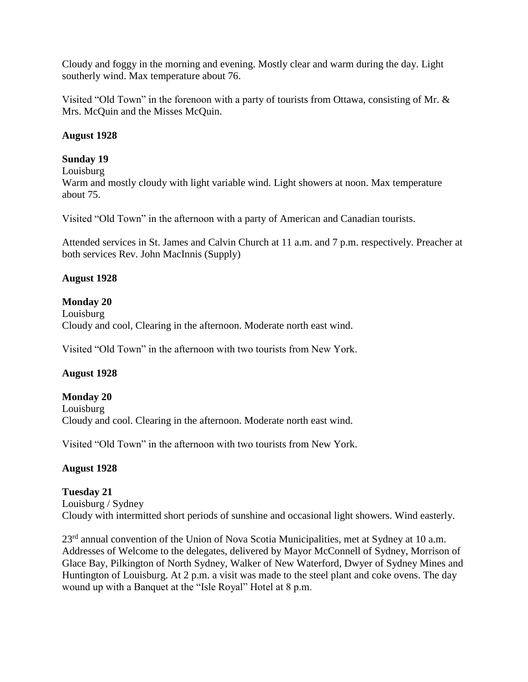Cloudy and foggy in the morning and evening. Mostly clear and warm during the day. Light southerly wind. Max temperature about 76.

Visited "Old Town" in the forenoon with a party of tourists from Ottawa, consisting of Mr. & Mrs. McQuin and the Misses McQuin.

# **August 1928**

# **Sunday 19**

Louisburg

Warm and mostly cloudy with light variable wind. Light showers at noon. Max temperature about 75.

Visited "Old Town" in the afternoon with a party of American and Canadian tourists.

Attended services in St. James and Calvin Church at 11 a.m. and 7 p.m. respectively. Preacher at both services Rev. John MacInnis (Supply)

### **August 1928**

### **Monday 20**

Louisburg Cloudy and cool, Clearing in the afternoon. Moderate north east wind.

Visited "Old Town" in the afternoon with two tourists from New York.

### **August 1928**

**Monday 20** Louisburg Cloudy and cool. Clearing in the afternoon. Moderate north east wind.

Visited "Old Town" in the afternoon with two tourists from New York.

### **August 1928**

**Tuesday 21** Louisburg / Sydney Cloudy with intermitted short periods of sunshine and occasional light showers. Wind easterly.

23<sup>rd</sup> annual convention of the Union of Nova Scotia Municipalities, met at Sydney at 10 a.m. Addresses of Welcome to the delegates, delivered by Mayor McConnell of Sydney, Morrison of Glace Bay, Pilkington of North Sydney, Walker of New Waterford, Dwyer of Sydney Mines and Huntington of Louisburg. At 2 p.m. a visit was made to the steel plant and coke ovens. The day wound up with a Banquet at the "Isle Royal" Hotel at 8 p.m.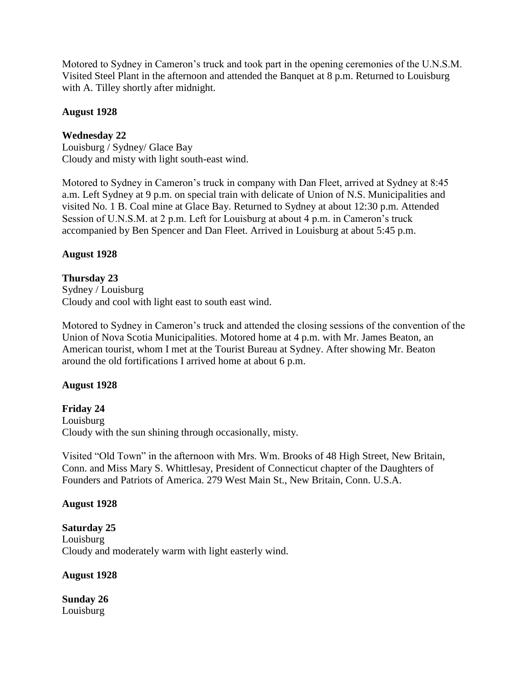Motored to Sydney in Cameron's truck and took part in the opening ceremonies of the U.N.S.M. Visited Steel Plant in the afternoon and attended the Banquet at 8 p.m. Returned to Louisburg with A. Tilley shortly after midnight.

#### **August 1928**

### **Wednesday 22**

Louisburg / Sydney/ Glace Bay Cloudy and misty with light south-east wind.

Motored to Sydney in Cameron's truck in company with Dan Fleet, arrived at Sydney at 8:45 a.m. Left Sydney at 9 p.m. on special train with delicate of Union of N.S. Municipalities and visited No. 1 B. Coal mine at Glace Bay. Returned to Sydney at about 12:30 p.m. Attended Session of U.N.S.M. at 2 p.m. Left for Louisburg at about 4 p.m. in Cameron's truck accompanied by Ben Spencer and Dan Fleet. Arrived in Louisburg at about 5:45 p.m.

### **August 1928**

#### **Thursday 23**

Sydney / Louisburg Cloudy and cool with light east to south east wind.

Motored to Sydney in Cameron's truck and attended the closing sessions of the convention of the Union of Nova Scotia Municipalities. Motored home at 4 p.m. with Mr. James Beaton, an American tourist, whom I met at the Tourist Bureau at Sydney. After showing Mr. Beaton around the old fortifications I arrived home at about 6 p.m.

#### **August 1928**

**Friday 24** Louisburg Cloudy with the sun shining through occasionally, misty.

Visited "Old Town" in the afternoon with Mrs. Wm. Brooks of 48 High Street, New Britain, Conn. and Miss Mary S. Whittlesay, President of Connecticut chapter of the Daughters of Founders and Patriots of America. 279 West Main St., New Britain, Conn. U.S.A.

#### **August 1928**

**Saturday 25** Louisburg Cloudy and moderately warm with light easterly wind.

**August 1928**

**Sunday 26** Louisburg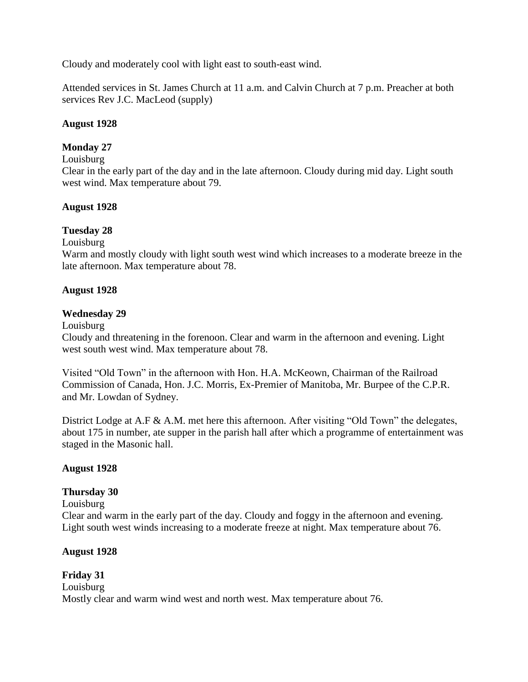Cloudy and moderately cool with light east to south-east wind.

Attended services in St. James Church at 11 a.m. and Calvin Church at 7 p.m. Preacher at both services Rev J.C. MacLeod (supply)

# **August 1928**

# **Monday 27**

### Louisburg

Clear in the early part of the day and in the late afternoon. Cloudy during mid day. Light south west wind. Max temperature about 79.

# **August 1928**

# **Tuesday 28**

Louisburg

Warm and mostly cloudy with light south west wind which increases to a moderate breeze in the late afternoon. Max temperature about 78.

### **August 1928**

### **Wednesday 29**

#### Louisburg

Cloudy and threatening in the forenoon. Clear and warm in the afternoon and evening. Light west south west wind. Max temperature about 78.

Visited "Old Town" in the afternoon with Hon. H.A. McKeown, Chairman of the Railroad Commission of Canada, Hon. J.C. Morris, Ex-Premier of Manitoba, Mr. Burpee of the C.P.R. and Mr. Lowdan of Sydney.

District Lodge at A.F & A.M. met here this afternoon. After visiting "Old Town" the delegates, about 175 in number, ate supper in the parish hall after which a programme of entertainment was staged in the Masonic hall.

### **August 1928**

### **Thursday 30**

Louisburg

Clear and warm in the early part of the day. Cloudy and foggy in the afternoon and evening. Light south west winds increasing to a moderate freeze at night. Max temperature about 76.

### **August 1928**

### **Friday 31** Louisburg Mostly clear and warm wind west and north west. Max temperature about 76.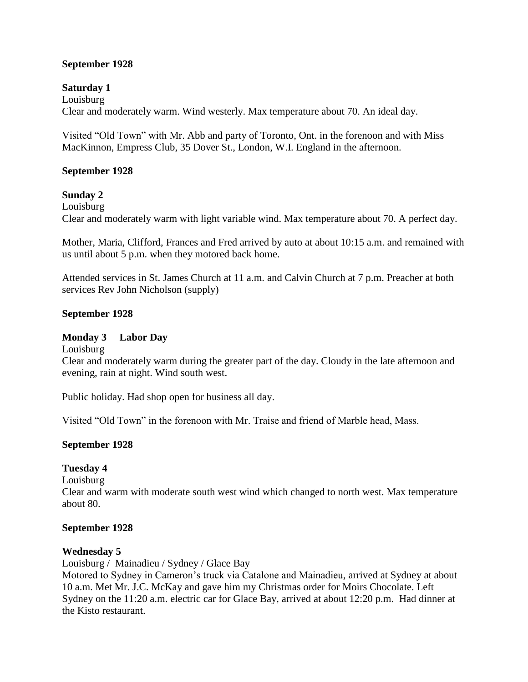### **September 1928**

### **Saturday 1**

Louisburg Clear and moderately warm. Wind westerly. Max temperature about 70. An ideal day.

Visited "Old Town" with Mr. Abb and party of Toronto, Ont. in the forenoon and with Miss MacKinnon, Empress Club, 35 Dover St., London, W.I. England in the afternoon.

#### **September 1928**

### **Sunday 2**

Louisburg Clear and moderately warm with light variable wind. Max temperature about 70. A perfect day.

Mother, Maria, Clifford, Frances and Fred arrived by auto at about 10:15 a.m. and remained with us until about 5 p.m. when they motored back home.

Attended services in St. James Church at 11 a.m. and Calvin Church at 7 p.m. Preacher at both services Rev John Nicholson (supply)

### **September 1928**

### **Monday 3 Labor Day**

Louisburg

Clear and moderately warm during the greater part of the day. Cloudy in the late afternoon and evening, rain at night. Wind south west.

Public holiday. Had shop open for business all day.

Visited "Old Town" in the forenoon with Mr. Traise and friend of Marble head, Mass.

### **September 1928**

### **Tuesday 4**

Louisburg

Clear and warm with moderate south west wind which changed to north west. Max temperature about 80.

#### **September 1928**

#### **Wednesday 5**

Louisburg / Mainadieu / Sydney / Glace Bay

Motored to Sydney in Cameron's truck via Catalone and Mainadieu, arrived at Sydney at about 10 a.m. Met Mr. J.C. McKay and gave him my Christmas order for Moirs Chocolate. Left Sydney on the 11:20 a.m. electric car for Glace Bay, arrived at about 12:20 p.m. Had dinner at the Kisto restaurant.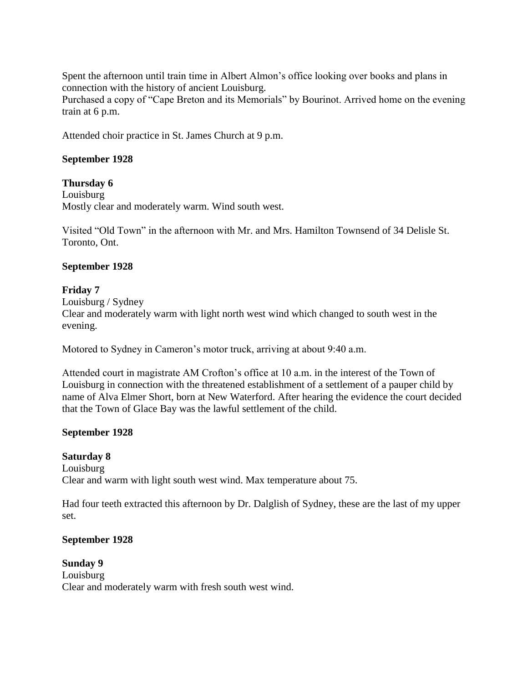Spent the afternoon until train time in Albert Almon's office looking over books and plans in connection with the history of ancient Louisburg. Purchased a copy of "Cape Breton and its Memorials" by Bourinot. Arrived home on the evening train at 6 p.m.

Attended choir practice in St. James Church at 9 p.m.

### **September 1928**

### **Thursday 6**

Louisburg Mostly clear and moderately warm. Wind south west.

Visited "Old Town" in the afternoon with Mr. and Mrs. Hamilton Townsend of 34 Delisle St. Toronto, Ont.

#### **September 1928**

### **Friday 7**

Louisburg / Sydney Clear and moderately warm with light north west wind which changed to south west in the evening.

Motored to Sydney in Cameron's motor truck, arriving at about 9:40 a.m.

Attended court in magistrate AM Crofton's office at 10 a.m. in the interest of the Town of Louisburg in connection with the threatened establishment of a settlement of a pauper child by name of Alva Elmer Short, born at New Waterford. After hearing the evidence the court decided that the Town of Glace Bay was the lawful settlement of the child.

### **September 1928**

# **Saturday 8**

Louisburg Clear and warm with light south west wind. Max temperature about 75.

Had four teeth extracted this afternoon by Dr. Dalglish of Sydney, these are the last of my upper set.

#### **September 1928**

**Sunday 9** Louisburg Clear and moderately warm with fresh south west wind.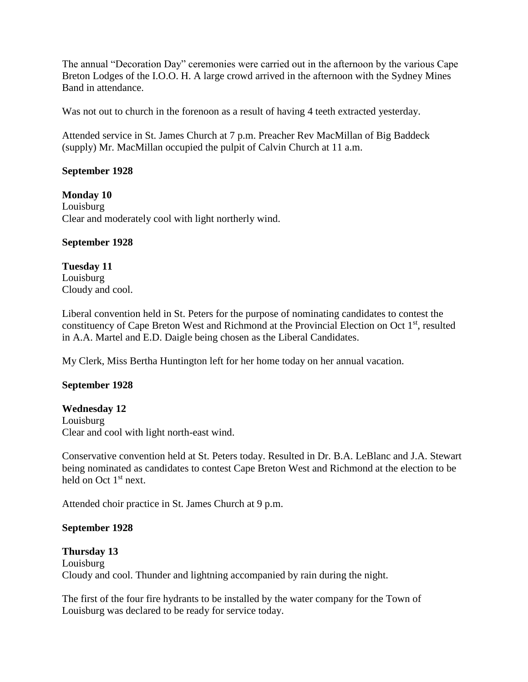The annual "Decoration Day" ceremonies were carried out in the afternoon by the various Cape Breton Lodges of the I.O.O. H. A large crowd arrived in the afternoon with the Sydney Mines Band in attendance.

Was not out to church in the forenoon as a result of having 4 teeth extracted yesterday.

Attended service in St. James Church at 7 p.m. Preacher Rev MacMillan of Big Baddeck (supply) Mr. MacMillan occupied the pulpit of Calvin Church at 11 a.m.

### **September 1928**

**Monday 10** Louisburg Clear and moderately cool with light northerly wind.

### **September 1928**

**Tuesday 11** Louisburg Cloudy and cool.

Liberal convention held in St. Peters for the purpose of nominating candidates to contest the constituency of Cape Breton West and Richmond at the Provincial Election on Oct 1<sup>st</sup>, resulted in A.A. Martel and E.D. Daigle being chosen as the Liberal Candidates.

My Clerk, Miss Bertha Huntington left for her home today on her annual vacation.

### **September 1928**

#### **Wednesday 12**

Louisburg Clear and cool with light north-east wind.

Conservative convention held at St. Peters today. Resulted in Dr. B.A. LeBlanc and J.A. Stewart being nominated as candidates to contest Cape Breton West and Richmond at the election to be held on Oct 1<sup>st</sup> next.

Attended choir practice in St. James Church at 9 p.m.

#### **September 1928**

#### **Thursday 13**

Louisburg Cloudy and cool. Thunder and lightning accompanied by rain during the night.

The first of the four fire hydrants to be installed by the water company for the Town of Louisburg was declared to be ready for service today.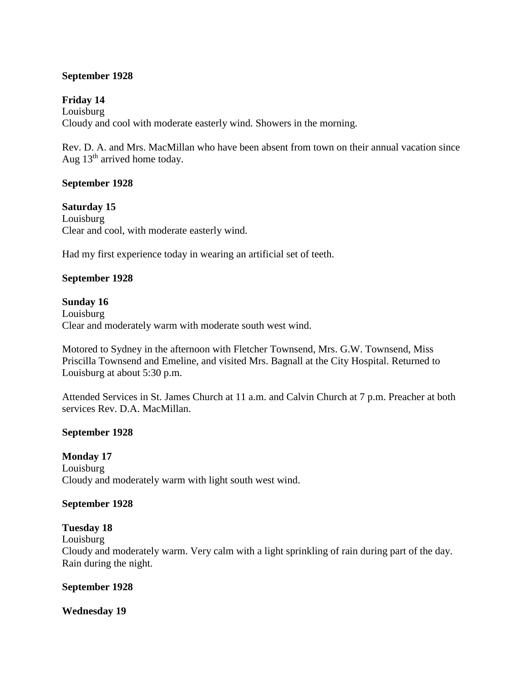### **September 1928**

### **Friday 14**

Louisburg Cloudy and cool with moderate easterly wind. Showers in the morning.

Rev. D. A. and Mrs. MacMillan who have been absent from town on their annual vacation since Aug  $13<sup>th</sup>$  arrived home today.

#### **September 1928**

**Saturday 15** Louisburg Clear and cool, with moderate easterly wind.

Had my first experience today in wearing an artificial set of teeth.

### **September 1928**

#### **Sunday 16**

Louisburg Clear and moderately warm with moderate south west wind.

Motored to Sydney in the afternoon with Fletcher Townsend, Mrs. G.W. Townsend, Miss Priscilla Townsend and Emeline, and visited Mrs. Bagnall at the City Hospital. Returned to Louisburg at about 5:30 p.m.

Attended Services in St. James Church at 11 a.m. and Calvin Church at 7 p.m. Preacher at both services Rev. D.A. MacMillan.

#### **September 1928**

**Monday 17** Louisburg Cloudy and moderately warm with light south west wind.

#### **September 1928**

#### **Tuesday 18**

Louisburg Cloudy and moderately warm. Very calm with a light sprinkling of rain during part of the day. Rain during the night.

#### **September 1928**

#### **Wednesday 19**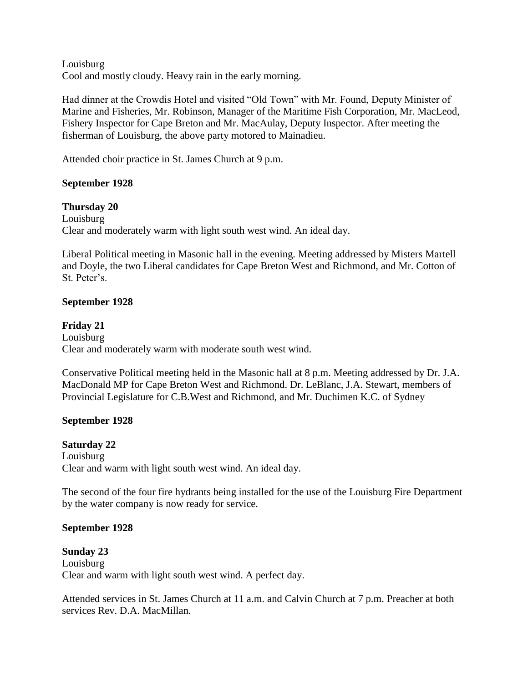Louisburg Cool and mostly cloudy. Heavy rain in the early morning.

Had dinner at the Crowdis Hotel and visited "Old Town" with Mr. Found, Deputy Minister of Marine and Fisheries, Mr. Robinson, Manager of the Maritime Fish Corporation, Mr. MacLeod, Fishery Inspector for Cape Breton and Mr. MacAulay, Deputy Inspector. After meeting the fisherman of Louisburg, the above party motored to Mainadieu.

Attended choir practice in St. James Church at 9 p.m.

### **September 1928**

#### **Thursday 20**

Louisburg Clear and moderately warm with light south west wind. An ideal day.

Liberal Political meeting in Masonic hall in the evening. Meeting addressed by Misters Martell and Doyle, the two Liberal candidates for Cape Breton West and Richmond, and Mr. Cotton of St. Peter's.

### **September 1928**

**Friday 21** Louisburg Clear and moderately warm with moderate south west wind.

Conservative Political meeting held in the Masonic hall at 8 p.m. Meeting addressed by Dr. J.A. MacDonald MP for Cape Breton West and Richmond. Dr. LeBlanc, J.A. Stewart, members of Provincial Legislature for C.B.West and Richmond, and Mr. Duchimen K.C. of Sydney

### **September 1928**

#### **Saturday 22**

Louisburg Clear and warm with light south west wind. An ideal day.

The second of the four fire hydrants being installed for the use of the Louisburg Fire Department by the water company is now ready for service.

#### **September 1928**

#### **Sunday 23**

Louisburg Clear and warm with light south west wind. A perfect day.

Attended services in St. James Church at 11 a.m. and Calvin Church at 7 p.m. Preacher at both services Rev. D.A. MacMillan.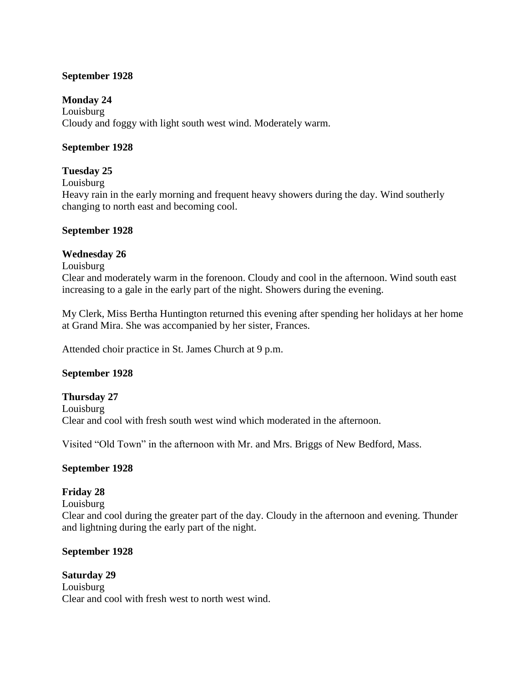### **September 1928**

### **Monday 24**

Louisburg Cloudy and foggy with light south west wind. Moderately warm.

### **September 1928**

# **Tuesday 25**

Louisburg

Heavy rain in the early morning and frequent heavy showers during the day. Wind southerly changing to north east and becoming cool.

### **September 1928**

# **Wednesday 26**

#### Louisburg

Clear and moderately warm in the forenoon. Cloudy and cool in the afternoon. Wind south east increasing to a gale in the early part of the night. Showers during the evening.

My Clerk, Miss Bertha Huntington returned this evening after spending her holidays at her home at Grand Mira. She was accompanied by her sister, Frances.

Attended choir practice in St. James Church at 9 p.m.

### **September 1928**

**Thursday 27** Louisburg Clear and cool with fresh south west wind which moderated in the afternoon.

Visited "Old Town" in the afternoon with Mr. and Mrs. Briggs of New Bedford, Mass.

### **September 1928**

### **Friday 28**

Louisburg

Clear and cool during the greater part of the day. Cloudy in the afternoon and evening. Thunder and lightning during the early part of the night.

### **September 1928**

**Saturday 29** Louisburg Clear and cool with fresh west to north west wind.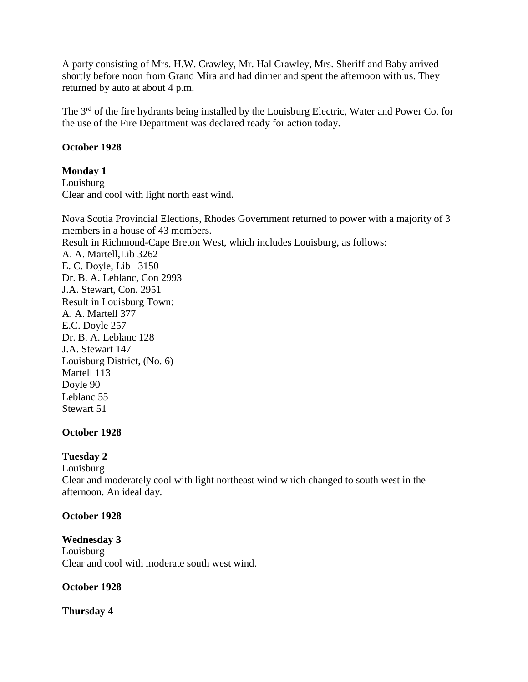A party consisting of Mrs. H.W. Crawley, Mr. Hal Crawley, Mrs. Sheriff and Baby arrived shortly before noon from Grand Mira and had dinner and spent the afternoon with us. They returned by auto at about 4 p.m.

The 3<sup>rd</sup> of the fire hydrants being installed by the Louisburg Electric, Water and Power Co. for the use of the Fire Department was declared ready for action today.

### **October 1928**

# **Monday 1**

Louisburg Clear and cool with light north east wind.

Nova Scotia Provincial Elections, Rhodes Government returned to power with a majority of 3 members in a house of 43 members. Result in Richmond-Cape Breton West, which includes Louisburg, as follows: A. A. Martell,Lib 3262 E. C. Doyle, Lib 3150 Dr. B. A. Leblanc, Con 2993 J.A. Stewart, Con. 2951 Result in Louisburg Town: A. A. Martell 377 E.C. Doyle 257 Dr. B. A. Leblanc 128 J.A. Stewart 147 Louisburg District, (No. 6) Martell 113 Doyle 90 Leblanc 55 Stewart 51

### **October 1928**

### **Tuesday 2**

Louisburg

Clear and moderately cool with light northeast wind which changed to south west in the afternoon. An ideal day.

### **October 1928**

#### **Wednesday 3** Louisburg Clear and cool with moderate south west wind.

### **October 1928**

# **Thursday 4**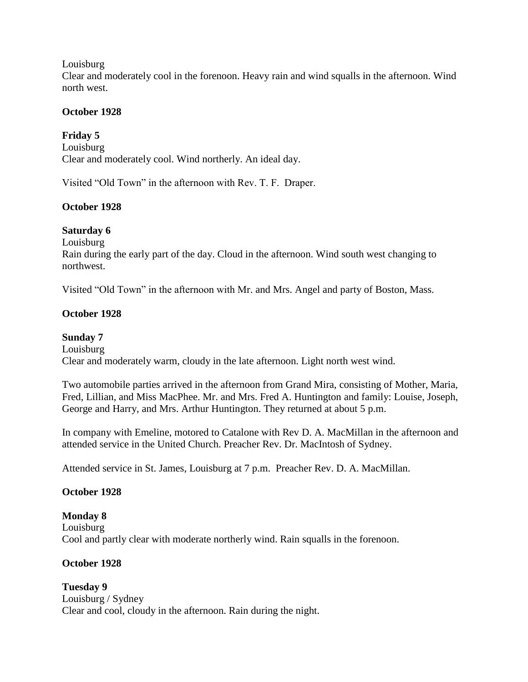Louisburg

Clear and moderately cool in the forenoon. Heavy rain and wind squalls in the afternoon. Wind north west.

### **October 1928**

# **Friday 5**

Louisburg Clear and moderately cool. Wind northerly. An ideal day.

Visited "Old Town" in the afternoon with Rev. T. F. Draper.

# **October 1928**

# **Saturday 6**

Louisburg

Rain during the early part of the day. Cloud in the afternoon. Wind south west changing to northwest.

Visited "Old Town" in the afternoon with Mr. and Mrs. Angel and party of Boston, Mass.

# **October 1928**

# **Sunday 7**

Louisburg Clear and moderately warm, cloudy in the late afternoon. Light north west wind.

Two automobile parties arrived in the afternoon from Grand Mira, consisting of Mother, Maria, Fred, Lillian, and Miss MacPhee. Mr. and Mrs. Fred A. Huntington and family: Louise, Joseph, George and Harry, and Mrs. Arthur Huntington. They returned at about 5 p.m.

In company with Emeline, motored to Catalone with Rev D. A. MacMillan in the afternoon and attended service in the United Church. Preacher Rev. Dr. MacIntosh of Sydney.

Attended service in St. James, Louisburg at 7 p.m. Preacher Rev. D. A. MacMillan.

### **October 1928**

**Monday 8** Louisburg Cool and partly clear with moderate northerly wind. Rain squalls in the forenoon.

### **October 1928**

**Tuesday 9** Louisburg / Sydney Clear and cool, cloudy in the afternoon. Rain during the night.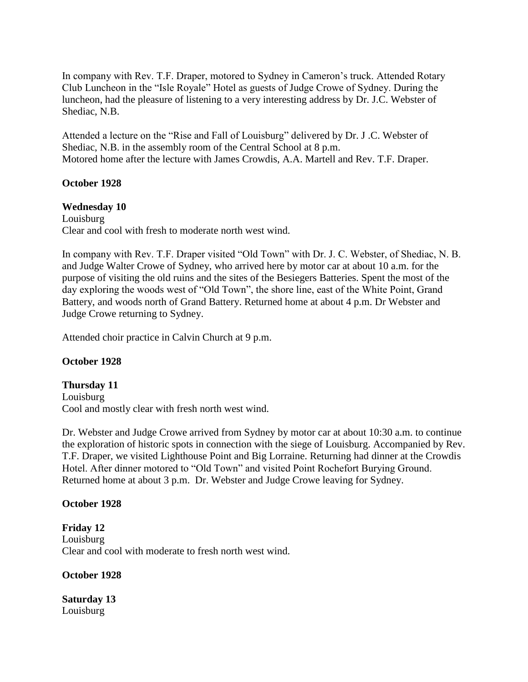In company with Rev. T.F. Draper, motored to Sydney in Cameron's truck. Attended Rotary Club Luncheon in the "Isle Royale" Hotel as guests of Judge Crowe of Sydney. During the luncheon, had the pleasure of listening to a very interesting address by Dr. J.C. Webster of Shediac, N.B.

Attended a lecture on the "Rise and Fall of Louisburg" delivered by Dr. J .C. Webster of Shediac, N.B. in the assembly room of the Central School at 8 p.m. Motored home after the lecture with James Crowdis, A.A. Martell and Rev. T.F. Draper.

#### **October 1928**

#### **Wednesday 10**

Louisburg Clear and cool with fresh to moderate north west wind.

In company with Rev. T.F. Draper visited "Old Town" with Dr. J. C. Webster, of Shediac, N. B. and Judge Walter Crowe of Sydney, who arrived here by motor car at about 10 a.m. for the purpose of visiting the old ruins and the sites of the Besiegers Batteries. Spent the most of the day exploring the woods west of "Old Town", the shore line, east of the White Point, Grand Battery, and woods north of Grand Battery. Returned home at about 4 p.m. Dr Webster and Judge Crowe returning to Sydney.

Attended choir practice in Calvin Church at 9 p.m.

#### **October 1928**

#### **Thursday 11** Louisburg Cool and mostly clear with fresh north west wind.

Dr. Webster and Judge Crowe arrived from Sydney by motor car at about 10:30 a.m. to continue the exploration of historic spots in connection with the siege of Louisburg. Accompanied by Rev. T.F. Draper, we visited Lighthouse Point and Big Lorraine. Returning had dinner at the Crowdis Hotel. After dinner motored to "Old Town" and visited Point Rochefort Burying Ground. Returned home at about 3 p.m. Dr. Webster and Judge Crowe leaving for Sydney.

#### **October 1928**

**Friday 12** Louisburg Clear and cool with moderate to fresh north west wind.

**October 1928**

**Saturday 13** Louisburg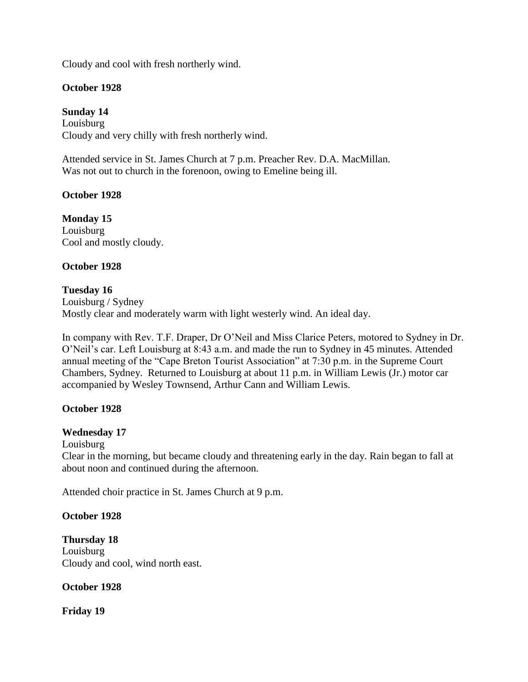Cloudy and cool with fresh northerly wind.

### **October 1928**

**Sunday 14** Louisburg Cloudy and very chilly with fresh northerly wind.

Attended service in St. James Church at 7 p.m. Preacher Rev. D.A. MacMillan. Was not out to church in the forenoon, owing to Emeline being ill.

### **October 1928**

**Monday 15** Louisburg Cool and mostly cloudy.

### **October 1928**

### **Tuesday 16**

Louisburg / Sydney Mostly clear and moderately warm with light westerly wind. An ideal day.

In company with Rev. T.F. Draper, Dr O'Neil and Miss Clarice Peters, motored to Sydney in Dr. O'Neil's car. Left Louisburg at 8:43 a.m. and made the run to Sydney in 45 minutes. Attended annual meeting of the "Cape Breton Tourist Association" at 7:30 p.m. in the Supreme Court Chambers, Sydney. Returned to Louisburg at about 11 p.m. in William Lewis (Jr.) motor car accompanied by Wesley Townsend, Arthur Cann and William Lewis.

#### **October 1928**

#### **Wednesday 17**

Louisburg

Clear in the morning, but became cloudy and threatening early in the day. Rain began to fall at about noon and continued during the afternoon.

Attended choir practice in St. James Church at 9 p.m.

#### **October 1928**

**Thursday 18** Louisburg Cloudy and cool, wind north east.

#### **October 1928**

**Friday 19**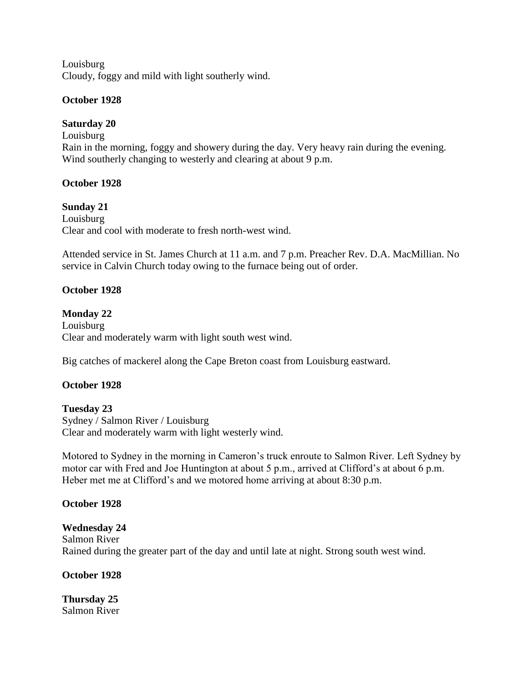Louisburg Cloudy, foggy and mild with light southerly wind.

### **October 1928**

### **Saturday 20**

Louisburg Rain in the morning, foggy and showery during the day. Very heavy rain during the evening. Wind southerly changing to westerly and clearing at about 9 p.m.

### **October 1928**

### **Sunday 21**

Louisburg Clear and cool with moderate to fresh north-west wind.

Attended service in St. James Church at 11 a.m. and 7 p.m. Preacher Rev. D.A. MacMillian. No service in Calvin Church today owing to the furnace being out of order.

### **October 1928**

# **Monday 22**

Louisburg Clear and moderately warm with light south west wind.

Big catches of mackerel along the Cape Breton coast from Louisburg eastward.

### **October 1928**

# **Tuesday 23**

Sydney / Salmon River / Louisburg Clear and moderately warm with light westerly wind.

Motored to Sydney in the morning in Cameron's truck enroute to Salmon River. Left Sydney by motor car with Fred and Joe Huntington at about 5 p.m., arrived at Clifford's at about 6 p.m. Heber met me at Clifford's and we motored home arriving at about 8:30 p.m.

#### **October 1928**

#### **Wednesday 24**

Salmon River Rained during the greater part of the day and until late at night. Strong south west wind.

#### **October 1928**

**Thursday 25** Salmon River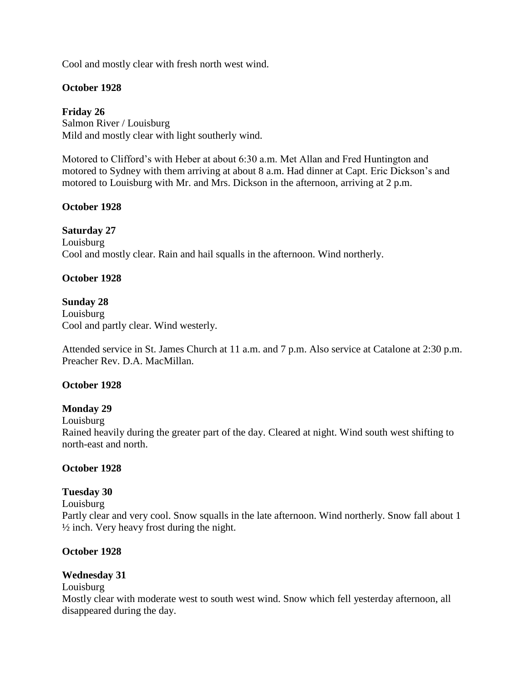Cool and mostly clear with fresh north west wind.

### **October 1928**

**Friday 26** Salmon River / Louisburg Mild and mostly clear with light southerly wind.

Motored to Clifford's with Heber at about 6:30 a.m. Met Allan and Fred Huntington and motored to Sydney with them arriving at about 8 a.m. Had dinner at Capt. Eric Dickson's and motored to Louisburg with Mr. and Mrs. Dickson in the afternoon, arriving at 2 p.m.

### **October 1928**

#### **Saturday 27**

Louisburg Cool and mostly clear. Rain and hail squalls in the afternoon. Wind northerly.

### **October 1928**

### **Sunday 28**

Louisburg Cool and partly clear. Wind westerly.

Attended service in St. James Church at 11 a.m. and 7 p.m. Also service at Catalone at 2:30 p.m. Preacher Rev. D.A. MacMillan.

#### **October 1928**

#### **Monday 29**

Louisburg

Rained heavily during the greater part of the day. Cleared at night. Wind south west shifting to north-east and north.

#### **October 1928**

#### **Tuesday 30**

Louisburg

Partly clear and very cool. Snow squalls in the late afternoon. Wind northerly. Snow fall about 1  $\frac{1}{2}$  inch. Very heavy frost during the night.

#### **October 1928**

#### **Wednesday 31**

Louisburg

Mostly clear with moderate west to south west wind. Snow which fell yesterday afternoon, all disappeared during the day.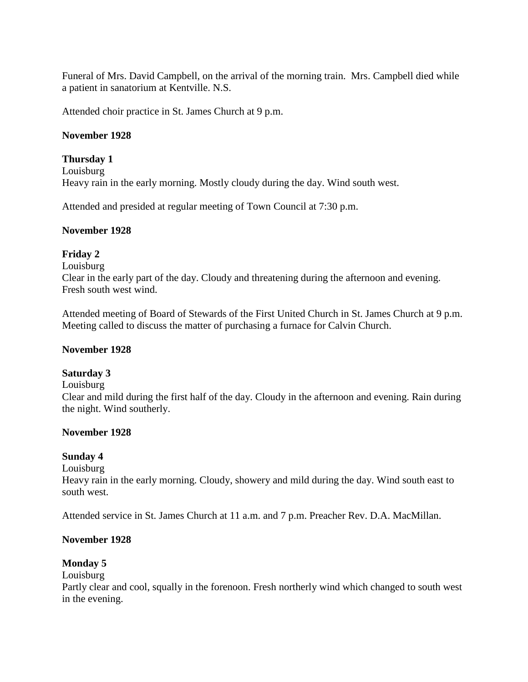Funeral of Mrs. David Campbell, on the arrival of the morning train. Mrs. Campbell died while a patient in sanatorium at Kentville. N.S.

Attended choir practice in St. James Church at 9 p.m.

### **November 1928**

### **Thursday 1**

Louisburg Heavy rain in the early morning. Mostly cloudy during the day. Wind south west.

Attended and presided at regular meeting of Town Council at 7:30 p.m.

#### **November 1928**

### **Friday 2**

Louisburg

Clear in the early part of the day. Cloudy and threatening during the afternoon and evening. Fresh south west wind.

Attended meeting of Board of Stewards of the First United Church in St. James Church at 9 p.m. Meeting called to discuss the matter of purchasing a furnace for Calvin Church.

#### **November 1928**

### **Saturday 3**

Louisburg

Clear and mild during the first half of the day. Cloudy in the afternoon and evening. Rain during the night. Wind southerly.

#### **November 1928**

### **Sunday 4**

Louisburg

Heavy rain in the early morning. Cloudy, showery and mild during the day. Wind south east to south west.

Attended service in St. James Church at 11 a.m. and 7 p.m. Preacher Rev. D.A. MacMillan.

### **November 1928**

#### **Monday 5**

Louisburg

Partly clear and cool, squally in the forenoon. Fresh northerly wind which changed to south west in the evening.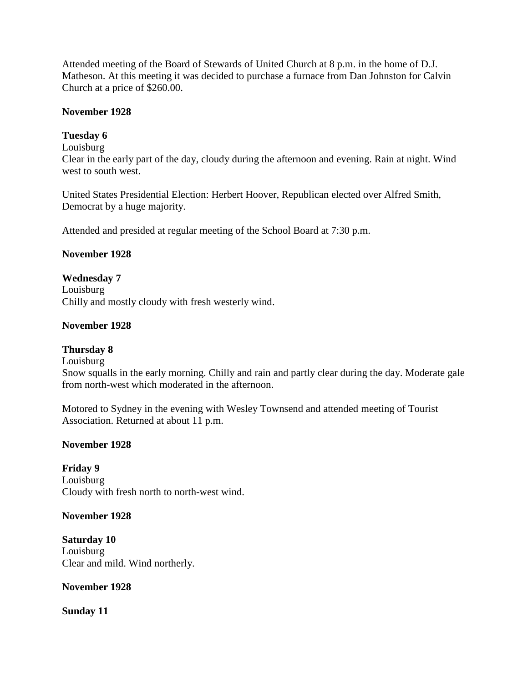Attended meeting of the Board of Stewards of United Church at 8 p.m. in the home of D.J. Matheson. At this meeting it was decided to purchase a furnace from Dan Johnston for Calvin Church at a price of \$260.00.

### **November 1928**

### **Tuesday 6**

Louisburg

Clear in the early part of the day, cloudy during the afternoon and evening. Rain at night. Wind west to south west.

United States Presidential Election: Herbert Hoover, Republican elected over Alfred Smith, Democrat by a huge majority.

Attended and presided at regular meeting of the School Board at 7:30 p.m.

### **November 1928**

**Wednesday 7** Louisburg Chilly and mostly cloudy with fresh westerly wind.

### **November 1928**

#### **Thursday 8**

Louisburg

Snow squalls in the early morning. Chilly and rain and partly clear during the day. Moderate gale from north-west which moderated in the afternoon.

Motored to Sydney in the evening with Wesley Townsend and attended meeting of Tourist Association. Returned at about 11 p.m.

#### **November 1928**

**Friday 9** Louisburg Cloudy with fresh north to north-west wind.

#### **November 1928**

**Saturday 10** Louisburg Clear and mild. Wind northerly.

#### **November 1928**

**Sunday 11**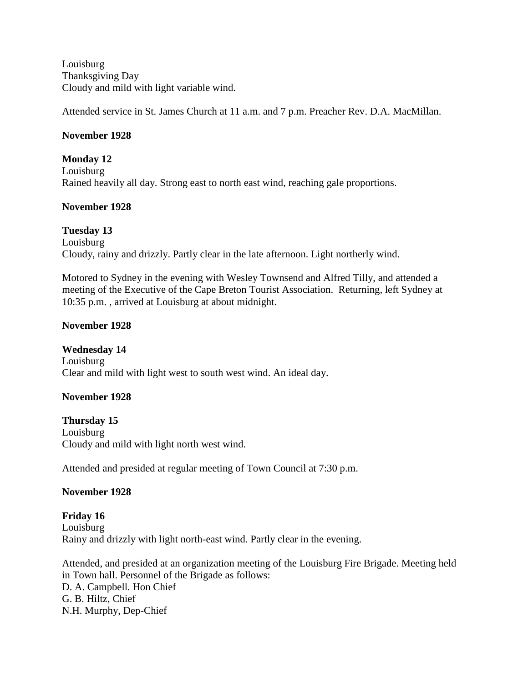Louisburg Thanksgiving Day Cloudy and mild with light variable wind.

Attended service in St. James Church at 11 a.m. and 7 p.m. Preacher Rev. D.A. MacMillan.

### **November 1928**

**Monday 12** Louisburg Rained heavily all day. Strong east to north east wind, reaching gale proportions.

### **November 1928**

**Tuesday 13** Louisburg Cloudy, rainy and drizzly. Partly clear in the late afternoon. Light northerly wind.

Motored to Sydney in the evening with Wesley Townsend and Alfred Tilly, and attended a meeting of the Executive of the Cape Breton Tourist Association. Returning, left Sydney at 10:35 p.m. , arrived at Louisburg at about midnight.

### **November 1928**

#### **Wednesday 14**

Louisburg Clear and mild with light west to south west wind. An ideal day.

### **November 1928**

**Thursday 15** Louisburg Cloudy and mild with light north west wind.

Attended and presided at regular meeting of Town Council at 7:30 p.m.

#### **November 1928**

**Friday 16** Louisburg Rainy and drizzly with light north-east wind. Partly clear in the evening.

Attended, and presided at an organization meeting of the Louisburg Fire Brigade. Meeting held in Town hall. Personnel of the Brigade as follows: D. A. Campbell. Hon Chief G. B. Hiltz, Chief N.H. Murphy, Dep-Chief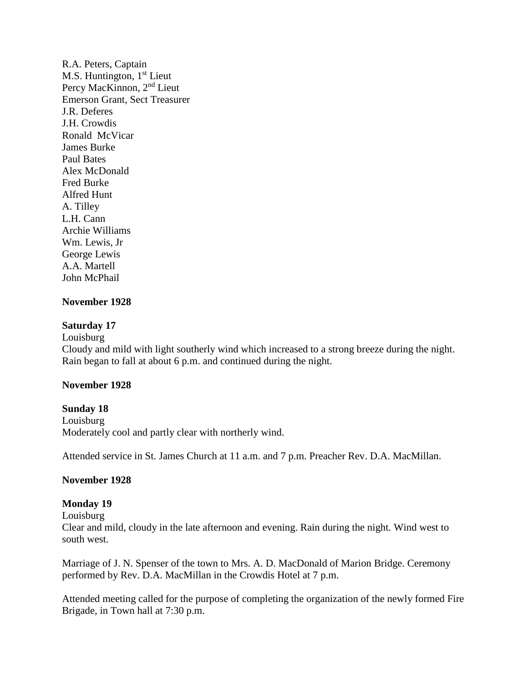R.A. Peters, Captain M.S. Huntington,  $1<sup>st</sup>$  Lieut Percy MacKinnon, 2nd Lieut Emerson Grant, Sect Treasurer J.R. Deferes J.H. Crowdis Ronald McVicar James Burke Paul Bates Alex McDonald Fred Burke Alfred Hunt A. Tilley L.H. Cann Archie Williams Wm. Lewis, Jr George Lewis A.A. Martell John McPhail

#### **November 1928**

#### **Saturday 17**

Louisburg

Cloudy and mild with light southerly wind which increased to a strong breeze during the night. Rain began to fall at about 6 p.m. and continued during the night.

#### **November 1928**

#### **Sunday 18**

Louisburg Moderately cool and partly clear with northerly wind.

Attended service in St. James Church at 11 a.m. and 7 p.m. Preacher Rev. D.A. MacMillan.

#### **November 1928**

#### **Monday 19**

Louisburg

Clear and mild, cloudy in the late afternoon and evening. Rain during the night. Wind west to south west.

Marriage of J. N. Spenser of the town to Mrs. A. D. MacDonald of Marion Bridge. Ceremony performed by Rev. D.A. MacMillan in the Crowdis Hotel at 7 p.m.

Attended meeting called for the purpose of completing the organization of the newly formed Fire Brigade, in Town hall at 7:30 p.m.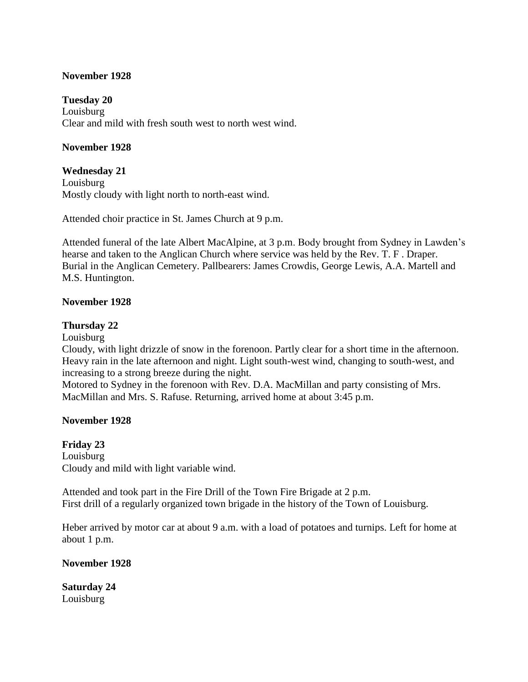#### **November 1928**

**Tuesday 20** Louisburg Clear and mild with fresh south west to north west wind.

### **November 1928**

**Wednesday 21** Louisburg Mostly cloudy with light north to north-east wind.

Attended choir practice in St. James Church at 9 p.m.

Attended funeral of the late Albert MacAlpine, at 3 p.m. Body brought from Sydney in Lawden's hearse and taken to the Anglican Church where service was held by the Rev. T. F . Draper. Burial in the Anglican Cemetery. Pallbearers: James Crowdis, George Lewis, A.A. Martell and M.S. Huntington.

#### **November 1928**

### **Thursday 22**

Louisburg

Cloudy, with light drizzle of snow in the forenoon. Partly clear for a short time in the afternoon. Heavy rain in the late afternoon and night. Light south-west wind, changing to south-west, and increasing to a strong breeze during the night.

Motored to Sydney in the forenoon with Rev. D.A. MacMillan and party consisting of Mrs. MacMillan and Mrs. S. Rafuse. Returning, arrived home at about 3:45 p.m.

#### **November 1928**

**Friday 23** Louisburg Cloudy and mild with light variable wind.

Attended and took part in the Fire Drill of the Town Fire Brigade at 2 p.m. First drill of a regularly organized town brigade in the history of the Town of Louisburg.

Heber arrived by motor car at about 9 a.m. with a load of potatoes and turnips. Left for home at about 1 p.m.

**November 1928**

**Saturday 24** Louisburg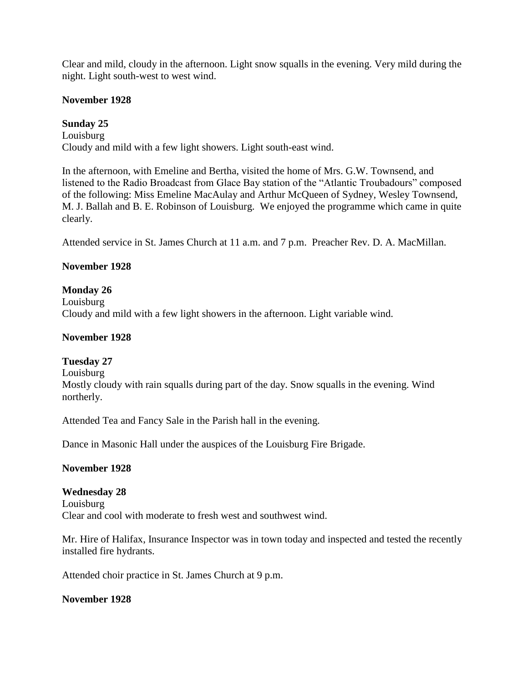Clear and mild, cloudy in the afternoon. Light snow squalls in the evening. Very mild during the night. Light south-west to west wind.

### **November 1928**

### **Sunday 25**

Louisburg Cloudy and mild with a few light showers. Light south-east wind.

In the afternoon, with Emeline and Bertha, visited the home of Mrs. G.W. Townsend, and listened to the Radio Broadcast from Glace Bay station of the "Atlantic Troubadours" composed of the following: Miss Emeline MacAulay and Arthur McQueen of Sydney, Wesley Townsend, M. J. Ballah and B. E. Robinson of Louisburg. We enjoyed the programme which came in quite clearly.

Attended service in St. James Church at 11 a.m. and 7 p.m. Preacher Rev. D. A. MacMillan.

### **November 1928**

### **Monday 26**

Louisburg Cloudy and mild with a few light showers in the afternoon. Light variable wind.

#### **November 1928**

#### **Tuesday 27**

Louisburg

Mostly cloudy with rain squalls during part of the day. Snow squalls in the evening. Wind northerly.

Attended Tea and Fancy Sale in the Parish hall in the evening.

Dance in Masonic Hall under the auspices of the Louisburg Fire Brigade.

#### **November 1928**

#### **Wednesday 28**

Louisburg Clear and cool with moderate to fresh west and southwest wind.

Mr. Hire of Halifax, Insurance Inspector was in town today and inspected and tested the recently installed fire hydrants.

Attended choir practice in St. James Church at 9 p.m.

#### **November 1928**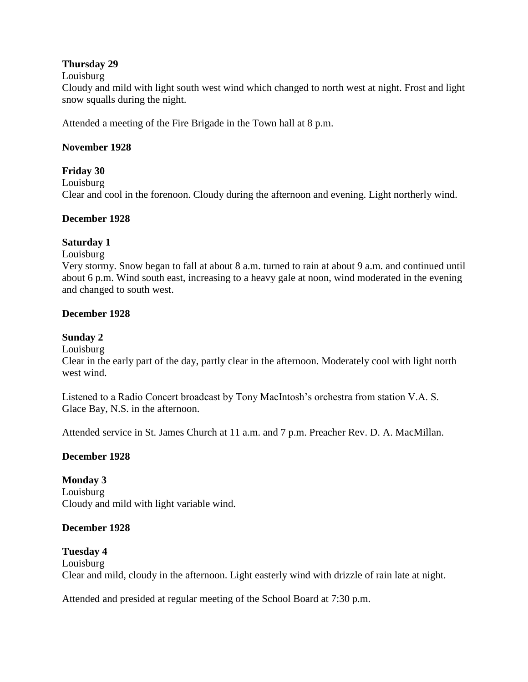### **Thursday 29**

#### Louisburg

Cloudy and mild with light south west wind which changed to north west at night. Frost and light snow squalls during the night.

Attended a meeting of the Fire Brigade in the Town hall at 8 p.m.

### **November 1928**

**Friday 30** Louisburg Clear and cool in the forenoon. Cloudy during the afternoon and evening. Light northerly wind.

### **December 1928**

### **Saturday 1**

#### Louisburg

Very stormy. Snow began to fall at about 8 a.m. turned to rain at about 9 a.m. and continued until about 6 p.m. Wind south east, increasing to a heavy gale at noon, wind moderated in the evening and changed to south west.

### **December 1928**

# **Sunday 2**

Louisburg

Clear in the early part of the day, partly clear in the afternoon. Moderately cool with light north west wind.

Listened to a Radio Concert broadcast by Tony MacIntosh's orchestra from station V.A. S. Glace Bay, N.S. in the afternoon.

Attended service in St. James Church at 11 a.m. and 7 p.m. Preacher Rev. D. A. MacMillan.

### **December 1928**

**Monday 3** Louisburg Cloudy and mild with light variable wind.

### **December 1928**

### **Tuesday 4** Louisburg Clear and mild, cloudy in the afternoon. Light easterly wind with drizzle of rain late at night.

Attended and presided at regular meeting of the School Board at 7:30 p.m.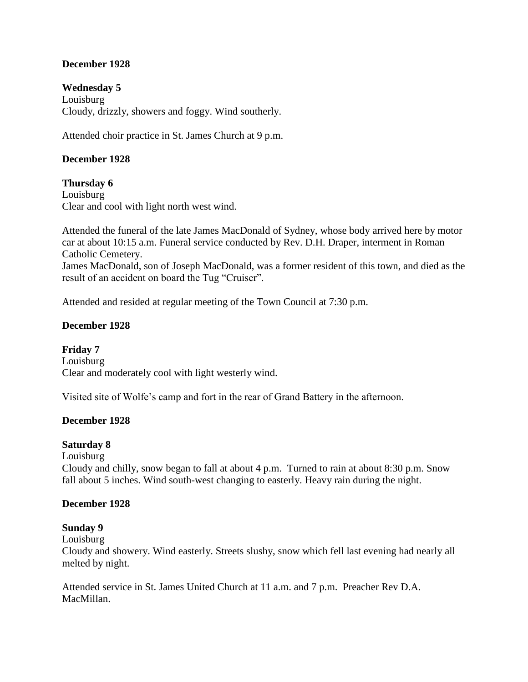# **December 1928**

**Wednesday 5**

Louisburg Cloudy, drizzly, showers and foggy. Wind southerly.

Attended choir practice in St. James Church at 9 p.m.

### **December 1928**

#### **Thursday 6**

Louisburg Clear and cool with light north west wind.

Attended the funeral of the late James MacDonald of Sydney, whose body arrived here by motor car at about 10:15 a.m. Funeral service conducted by Rev. D.H. Draper, interment in Roman Catholic Cemetery.

James MacDonald, son of Joseph MacDonald, was a former resident of this town, and died as the result of an accident on board the Tug "Cruiser".

Attended and resided at regular meeting of the Town Council at 7:30 p.m.

### **December 1928**

**Friday 7** Louisburg Clear and moderately cool with light westerly wind.

Visited site of Wolfe's camp and fort in the rear of Grand Battery in the afternoon.

### **December 1928**

#### **Saturday 8**

Louisburg

Cloudy and chilly, snow began to fall at about 4 p.m. Turned to rain at about 8:30 p.m. Snow fall about 5 inches. Wind south-west changing to easterly. Heavy rain during the night.

#### **December 1928**

#### **Sunday 9**

Louisburg

Cloudy and showery. Wind easterly. Streets slushy, snow which fell last evening had nearly all melted by night.

Attended service in St. James United Church at 11 a.m. and 7 p.m. Preacher Rev D.A. MacMillan.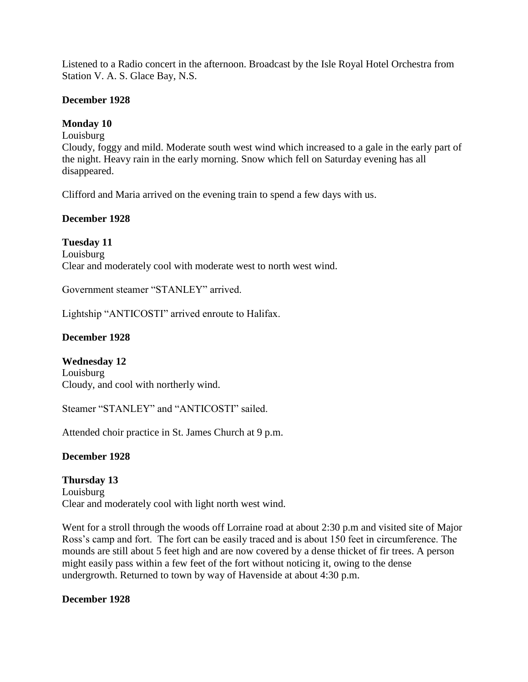Listened to a Radio concert in the afternoon. Broadcast by the Isle Royal Hotel Orchestra from Station V. A. S. Glace Bay, N.S.

#### **December 1928**

### **Monday 10**

Louisburg

Cloudy, foggy and mild. Moderate south west wind which increased to a gale in the early part of the night. Heavy rain in the early morning. Snow which fell on Saturday evening has all disappeared.

Clifford and Maria arrived on the evening train to spend a few days with us.

#### **December 1928**

**Tuesday 11** Louisburg Clear and moderately cool with moderate west to north west wind.

Government steamer "STANLEY" arrived.

Lightship "ANTICOSTI" arrived enroute to Halifax.

## **December 1928**

**Wednesday 12** Louisburg Cloudy, and cool with northerly wind.

Steamer "STANLEY" and "ANTICOSTI" sailed.

Attended choir practice in St. James Church at 9 p.m.

#### **December 1928**

**Thursday 13** Louisburg Clear and moderately cool with light north west wind.

Went for a stroll through the woods off Lorraine road at about 2:30 p.m and visited site of Major Ross's camp and fort. The fort can be easily traced and is about 150 feet in circumference. The mounds are still about 5 feet high and are now covered by a dense thicket of fir trees. A person might easily pass within a few feet of the fort without noticing it, owing to the dense undergrowth. Returned to town by way of Havenside at about 4:30 p.m.

**December 1928**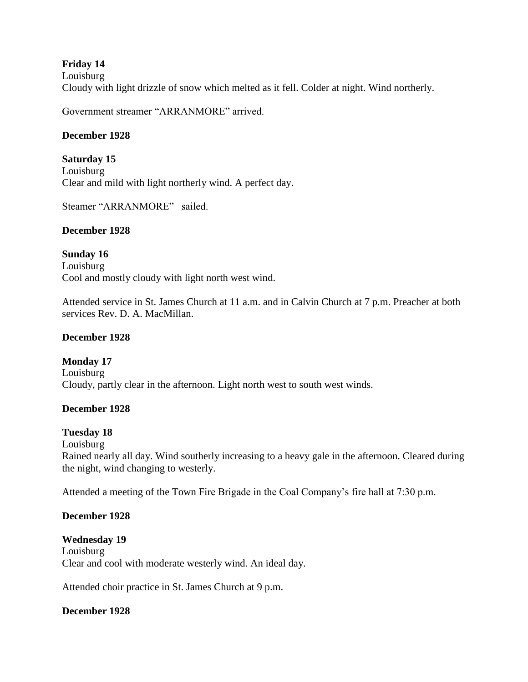# **Friday 14**

Louisburg Cloudy with light drizzle of snow which melted as it fell. Colder at night. Wind northerly.

Government streamer "ARRANMORE" arrived.

# **December 1928**

**Saturday 15** Louisburg Clear and mild with light northerly wind. A perfect day.

Steamer "ARRANMORE" sailed.

## **December 1928**

**Sunday 16** Louisburg Cool and mostly cloudy with light north west wind.

Attended service in St. James Church at 11 a.m. and in Calvin Church at 7 p.m. Preacher at both services Rev. D. A. MacMillan.

# **December 1928**

**Monday 17** Louisburg Cloudy, partly clear in the afternoon. Light north west to south west winds.

## **December 1928**

## **Tuesday 18**

Louisburg Rained nearly all day. Wind southerly increasing to a heavy gale in the afternoon. Cleared during the night, wind changing to westerly.

Attended a meeting of the Town Fire Brigade in the Coal Company's fire hall at 7:30 p.m.

## **December 1928**

**Wednesday 19** Louisburg Clear and cool with moderate westerly wind. An ideal day.

Attended choir practice in St. James Church at 9 p.m.

# **December 1928**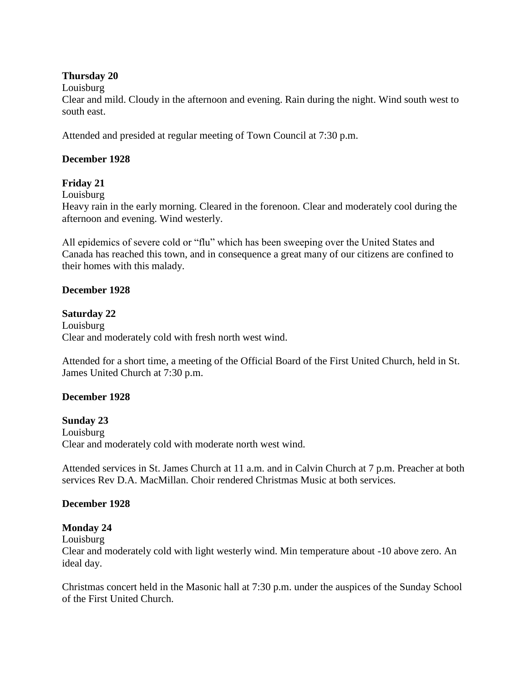### **Thursday 20**

Louisburg

Clear and mild. Cloudy in the afternoon and evening. Rain during the night. Wind south west to south east.

Attended and presided at regular meeting of Town Council at 7:30 p.m.

#### **December 1928**

## **Friday 21**

Louisburg

Heavy rain in the early morning. Cleared in the forenoon. Clear and moderately cool during the afternoon and evening. Wind westerly.

All epidemics of severe cold or "flu" which has been sweeping over the United States and Canada has reached this town, and in consequence a great many of our citizens are confined to their homes with this malady.

#### **December 1928**

**Saturday 22** Louisburg Clear and moderately cold with fresh north west wind.

Attended for a short time, a meeting of the Official Board of the First United Church, held in St. James United Church at 7:30 p.m.

## **December 1928**

## **Sunday 23**

Louisburg Clear and moderately cold with moderate north west wind.

Attended services in St. James Church at 11 a.m. and in Calvin Church at 7 p.m. Preacher at both services Rev D.A. MacMillan. Choir rendered Christmas Music at both services.

#### **December 1928**

## **Monday 24**

Louisburg

Clear and moderately cold with light westerly wind. Min temperature about -10 above zero. An ideal day.

Christmas concert held in the Masonic hall at 7:30 p.m. under the auspices of the Sunday School of the First United Church.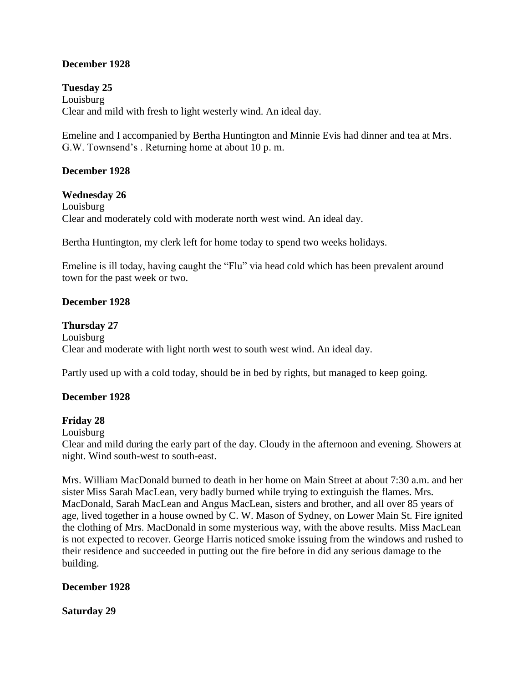## **December 1928**

**Tuesday 25** Louisburg Clear and mild with fresh to light westerly wind. An ideal day.

Emeline and I accompanied by Bertha Huntington and Minnie Evis had dinner and tea at Mrs. G.W. Townsend's . Returning home at about 10 p. m.

## **December 1928**

#### **Wednesday 26**

Louisburg Clear and moderately cold with moderate north west wind. An ideal day.

Bertha Huntington, my clerk left for home today to spend two weeks holidays.

Emeline is ill today, having caught the "Flu" via head cold which has been prevalent around town for the past week or two.

#### **December 1928**

#### **Thursday 27**

Louisburg Clear and moderate with light north west to south west wind. An ideal day.

Partly used up with a cold today, should be in bed by rights, but managed to keep going.

## **December 1928**

#### **Friday 28**

Louisburg

Clear and mild during the early part of the day. Cloudy in the afternoon and evening. Showers at night. Wind south-west to south-east.

Mrs. William MacDonald burned to death in her home on Main Street at about 7:30 a.m. and her sister Miss Sarah MacLean, very badly burned while trying to extinguish the flames. Mrs. MacDonald, Sarah MacLean and Angus MacLean, sisters and brother, and all over 85 years of age, lived together in a house owned by C. W. Mason of Sydney, on Lower Main St. Fire ignited the clothing of Mrs. MacDonald in some mysterious way, with the above results. Miss MacLean is not expected to recover. George Harris noticed smoke issuing from the windows and rushed to their residence and succeeded in putting out the fire before in did any serious damage to the building.

#### **December 1928**

**Saturday 29**